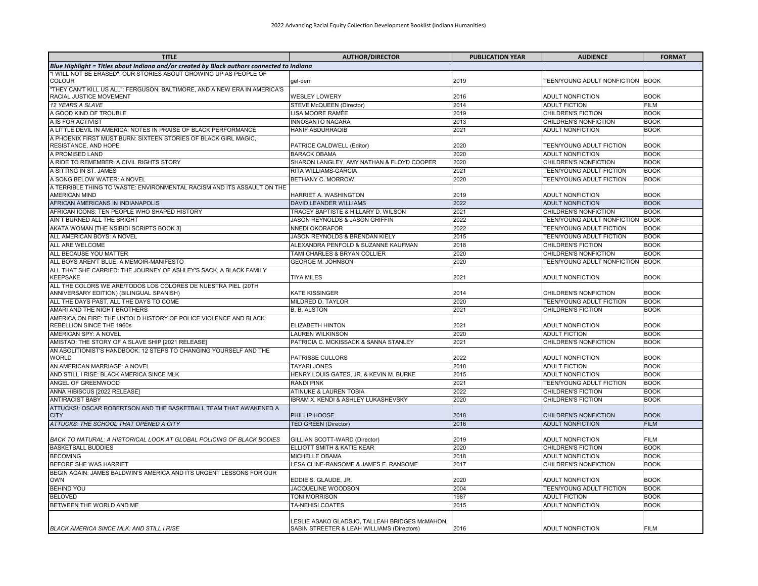| Blue Highlight = Titles about Indiana and/or created by Black authors connected to Indiana<br>"I WILL NOT BE ERASED": OUR STORIES ABOUT GROWING UP AS PEOPLE OF<br>COLOUR<br>2019<br>TEEN/YOUNG ADULT NONFICTION<br><b>BOOK</b><br>gel-dem<br>"THEY CAN'T KILL US ALL": FERGUSON, BALTIMORE, AND A NEW ERA IN AMERICA'S<br><b>BOOK</b><br>RACIAL JUSTICE MOVEMENT<br><b>WESLEY LOWERY</b><br>2016<br><b>ADULT NONFICTION</b><br>12 YEARS A SLAVE<br>2014<br><b>ADULT FICTION</b><br>STEVE McQUEEN (Director)<br><b>FILM</b><br>A GOOD KIND OF TROUBLE<br>LISA MOORE RAMÉE<br>2019<br>CHILDREN'S FICTION<br><b>BOOK</b><br>A IS FOR ACTIVIST<br><b>INNOSANTO NAGARA</b><br>2013<br><b>BOOK</b><br>CHILDREN'S NONFICTION<br>A LITTLE DEVIL IN AMERICA: NOTES IN PRAISE OF BLACK PERFORMANCE<br>HANIF ABDURRAQIB<br>2021<br><b>BOOK</b><br>ADULT NONFICTION<br>A PHOENIX FIRST MUST BURN: SIXTEEN STORIES OF BLACK GIRL MAGIC,<br>2020<br><b>BOOK</b><br>RESISTANCE, AND HOPE<br>PATRICE CALDWELL (Editor)<br>TEEN/YOUNG ADULT FICTION<br><b>BOOK</b><br>A PROMISED LAND<br>2020<br><b>BARACK OBAMA</b><br><b>ADULT NONFICTION</b><br>A RIDE TO REMEMBER: A CIVIL RIGHTS STORY<br>SHARON LANGLEY, AMY NATHAN & FLOYD COOPER<br>2020<br>CHILDREN'S NONFICTION<br><b>BOOK</b><br>A SITTING IN ST. JAMES<br>RITA WILLIAMS-GARCIA<br>2021<br>TEEN/YOUNG ADULT FICTION<br><b>BOOK</b><br>A SONG BELOW WATER: A NOVEL<br>BETHANY C. MORROW<br>2020<br>TEEN/YOUNG ADULT FICTION<br><b>BOOK</b><br>A TERRIBLE THING TO WASTE: ENVIRONMENTAL RACISM AND ITS ASSAULT ON THE<br><b>AMERICAN MIND</b><br>HARRIET A. WASHINGTON<br>2019<br><b>ADULT NONFICTION</b><br><b>BOOK</b><br>AFRICAN AMERICANS IN INDIANAPOLIS<br><b>DAVID LEANDER WILLIAMS</b><br>2022<br><b>ADULT NONFICTION</b><br><b>BOOK</b><br>AFRICAN ICONS: TEN PEOPLE WHO SHAPED HISTORY<br>TRACEY BAPTISTE & HILLARY D. WILSON<br>2021<br><b>BOOK</b><br>CHILDREN'S NONFICTION<br>AIN'T BURNED ALL THE BRIGHT<br>JASON REYNOLDS & JASON GRIFFIN<br>2022<br>TEEN/YOUNG ADULT NONFICTION<br><b>BOOK</b><br>AKATA WOMAN [THE NSIBIDI SCRIPTS BOOK 3]<br>2022<br><b>BOOK</b><br>NNEDI OKORAFOR<br>TEEN/YOUNG ADULT FICTION<br>ALL AMERICAN BOYS: A NOVEL<br>JASON REYNOLDS & BRENDAN KIELY<br>2015<br>TEEN/YOUNG ADULT FICTION<br><b>BOOK</b><br>ALL ARE WELCOME<br>ALEXANDRA PENFOLD & SUZANNE KAUFMAN<br><b>CHILDREN'S FICTION</b><br><b>BOOK</b><br>2018<br>ALL BECAUSE YOU MATTER<br>TAMI CHARLES & BRYAN COLLIER<br>2020<br><b>BOOK</b><br>CHILDREN'S NONFICTION<br>2020<br>ALL BOYS AREN'T BLUE: A MEMOIR-MANIFESTO<br>TEEN/YOUNG ADULT NONFICTION<br><b>BOOK</b><br><b>GEORGE M. JOHNSON</b><br>ALL THAT SHE CARRIED: THE JOURNEY OF ASHLEY'S SACK, A BLACK FAMILY<br><b>BOOK</b><br><b>KEEPSAKE</b><br>TIYA MILES<br>2021<br><b>ADULT NONFICTION</b><br>ALL THE COLORS WE ARE/TODOS LOS COLORES DE NUESTRA PIEL (20TH<br>ANNIVERSARY EDITION) (BILINGUAL SPANISH)<br>KATE KISSINGER<br>2014<br><b>BOOK</b><br>CHILDREN'S NONFICTION<br>ALL THE DAYS PAST, ALL THE DAYS TO COME<br><b>MILDRED D. TAYLOR</b><br><b>BOOK</b><br>2020<br>TEEN/YOUNG ADULT FICTION<br>AMARI AND THE NIGHT BROTHERS<br><b>B. B. ALSTON</b><br>2021<br><b>BOOK</b><br>CHILDREN'S FICTION<br>AMERICA ON FIRE: THE UNTOLD HISTORY OF POLICE VIOLENCE AND BLACK<br>REBELLION SINCE THE 1960s<br>2021<br><b>BOOK</b><br>ELIZABETH HINTON<br>ADULT NONFICTION<br>AMERICAN SPY: A NOVEL<br>LAUREN WILKINSON<br>2020<br><b>ADULT FICTION</b><br><b>BOOK</b><br>2021<br><b>BOOK</b><br>AMISTAD: THE STORY OF A SLAVE SHIP [2021 RELEASE]<br>PATRICIA C. MCKISSACK & SANNA STANLEY<br>CHILDREN'S NONFICTION<br>AN ABOLITIONIST'S HANDBOOK: 12 STEPS TO CHANGING YOURSELF AND THE<br>WORLD<br>2022<br><b>BOOK</b><br>PATRISSE CULLORS<br><b>ADULT NONFICTION</b><br>AN AMERICAN MARRIAGE: A NOVEL<br><b>TAYARI JONES</b><br>2018<br><b>ADULT FICTION</b><br><b>BOOK</b><br>AND STILL I RISE: BLACK AMERICA SINCE MLK<br>HENRY LOUIS GATES, JR. & KEVIN M. BURKE<br>2015<br><b>ADULT NONFICTION</b><br><b>BOOK</b><br>ANGEL OF GREENWOOD<br>2021<br><b>BOOK</b><br><b>RANDI PINK</b><br>TEEN/YOUNG ADULT FICTION<br>ANNA HIBISCUS [2022 RELEASE]<br>ATINUKE & LAUREN TOBIA<br>2022<br>CHILDREN'S FICTION<br><b>BOOK</b><br><b>ANTIRACIST BABY</b><br>IBRAM X. KENDI & ASHLEY LUKASHEVSKY<br><b>CHILDREN'S FICTION</b><br><b>BOOK</b><br>2020<br>ATTUCKS!: OSCAR ROBERTSON AND THE BASKETBALL TEAM THAT AWAKENED A<br><b>CITY</b><br>PHILLIP HOOSE<br>2018<br><b>BOOK</b><br>CHILDREN'S NONFICTION<br>ATTUCKS: THE SCHOOL THAT OPENED A CITY<br><b>TED GREEN (Director)</b><br>2016<br><b>ADULT NONFICTION</b><br><b>FILM</b><br>BACK TO NATURAL: A HISTORICAL LOOK AT GLOBAL POLICING OF BLACK BODIES<br>2019<br>ADULT NONFICTION<br>FILM<br>GILLIAN SCOTT-WARD (Director)<br><b>BASKETBALL BUDDIES</b><br>ELLIOTT SMITH & KATIE KEAR<br>2020<br><b>CHILDREN'S FICTION</b><br><b>BOOK</b><br><b>BECOMING</b><br><b>BOOK</b><br>MICHELLE OBAMA<br>2018<br><b>ADULT NONFICTION</b><br>BEFORE SHE WAS HARRIET<br>LESA CLINE-RANSOME & JAMES E. RANSOME<br>2017<br>CHILDREN'S NONFICTION<br><b>BOOK</b><br>BEGIN AGAIN: JAMES BALDWIN'S AMERICA AND ITS URGENT LESSONS FOR OUR<br><b>BOOK</b><br><b>OWN</b><br>EDDIE S. GLAUDE, JR.<br>2020<br><b>ADULT NONFICTION</b><br><b>BEHIND YOU</b><br>JACQUELINE WOODSON<br>2004<br>TEEN/YOUNG ADULT FICTION<br><b>BOOK</b><br>1987<br><b>BELOVED</b><br><b>TONI MORRISON</b><br><b>ADULT FICTION</b><br><b>BOOK</b><br>BETWEEN THE WORLD AND ME<br><b>BOOK</b><br>TA-NEHISI COATES<br>2015<br><b>ADULT NONFICTION</b><br>ESLIE ASAKO GLADSJO, TALLEAH BRIDGES McMAHON,<br><b>FILM</b><br>BLACK AMERICA SINCE MLK: AND STILL I RISE<br>SABIN STREETER & LEAH WILLIAMS (Directors)<br>2016<br><b>ADULT NONFICTION</b> | <b>TITLE</b> | <b>AUTHOR/DIRECTOR</b> | <b>PUBLICATION YEAR</b> | <b>AUDIENCE</b> | <b>FORMAT</b> |
|-------------------------------------------------------------------------------------------------------------------------------------------------------------------------------------------------------------------------------------------------------------------------------------------------------------------------------------------------------------------------------------------------------------------------------------------------------------------------------------------------------------------------------------------------------------------------------------------------------------------------------------------------------------------------------------------------------------------------------------------------------------------------------------------------------------------------------------------------------------------------------------------------------------------------------------------------------------------------------------------------------------------------------------------------------------------------------------------------------------------------------------------------------------------------------------------------------------------------------------------------------------------------------------------------------------------------------------------------------------------------------------------------------------------------------------------------------------------------------------------------------------------------------------------------------------------------------------------------------------------------------------------------------------------------------------------------------------------------------------------------------------------------------------------------------------------------------------------------------------------------------------------------------------------------------------------------------------------------------------------------------------------------------------------------------------------------------------------------------------------------------------------------------------------------------------------------------------------------------------------------------------------------------------------------------------------------------------------------------------------------------------------------------------------------------------------------------------------------------------------------------------------------------------------------------------------------------------------------------------------------------------------------------------------------------------------------------------------------------------------------------------------------------------------------------------------------------------------------------------------------------------------------------------------------------------------------------------------------------------------------------------------------------------------------------------------------------------------------------------------------------------------------------------------------------------------------------------------------------------------------------------------------------------------------------------------------------------------------------------------------------------------------------------------------------------------------------------------------------------------------------------------------------------------------------------------------------------------------------------------------------------------------------------------------------------------------------------------------------------------------------------------------------------------------------------------------------------------------------------------------------------------------------------------------------------------------------------------------------------------------------------------------------------------------------------------------------------------------------------------------------------------------------------------------------------------------------------------------------------------------------------------------------------------------------------------------------------------------------------------------------------------------------------------------------------------------------------------------------------------------------------------------------------------------------------------------------------------------------------------------------------------------------------------------------------------------------------------------------------------------------------------------------------------------------------------------------------------------------------------------------------------------------------------------------------------------------------------------------------------------------------------------------------------------------------------------------------------------------------------------------------------------------------------------------------------------------------------------------------------------------------------------------------------------------------------------------------------------------------------------------------------------------------------------------------------------------------------------------------------------------------------------------------------------------------------------------------------------------------------------------------------------------------------------------------------------------------------------------------------------------------------------------|--------------|------------------------|-------------------------|-----------------|---------------|
|                                                                                                                                                                                                                                                                                                                                                                                                                                                                                                                                                                                                                                                                                                                                                                                                                                                                                                                                                                                                                                                                                                                                                                                                                                                                                                                                                                                                                                                                                                                                                                                                                                                                                                                                                                                                                                                                                                                                                                                                                                                                                                                                                                                                                                                                                                                                                                                                                                                                                                                                                                                                                                                                                                                                                                                                                                                                                                                                                                                                                                                                                                                                                                                                                                                                                                                                                                                                                                                                                                                                                                                                                                                                                                                                                                                                                                                                                                                                                                                                                                                                                                                                                                                                                                                                                                                                                                                                                                                                                                                                                                                                                                                                                                                                                                                                                                                                                                                                                                                                                                                                                                                                                                                                                                                                                                                                                                                                                                                                                                                                                                                                                                                                                                                                                                               |              |                        |                         |                 |               |
|                                                                                                                                                                                                                                                                                                                                                                                                                                                                                                                                                                                                                                                                                                                                                                                                                                                                                                                                                                                                                                                                                                                                                                                                                                                                                                                                                                                                                                                                                                                                                                                                                                                                                                                                                                                                                                                                                                                                                                                                                                                                                                                                                                                                                                                                                                                                                                                                                                                                                                                                                                                                                                                                                                                                                                                                                                                                                                                                                                                                                                                                                                                                                                                                                                                                                                                                                                                                                                                                                                                                                                                                                                                                                                                                                                                                                                                                                                                                                                                                                                                                                                                                                                                                                                                                                                                                                                                                                                                                                                                                                                                                                                                                                                                                                                                                                                                                                                                                                                                                                                                                                                                                                                                                                                                                                                                                                                                                                                                                                                                                                                                                                                                                                                                                                                               |              |                        |                         |                 |               |
|                                                                                                                                                                                                                                                                                                                                                                                                                                                                                                                                                                                                                                                                                                                                                                                                                                                                                                                                                                                                                                                                                                                                                                                                                                                                                                                                                                                                                                                                                                                                                                                                                                                                                                                                                                                                                                                                                                                                                                                                                                                                                                                                                                                                                                                                                                                                                                                                                                                                                                                                                                                                                                                                                                                                                                                                                                                                                                                                                                                                                                                                                                                                                                                                                                                                                                                                                                                                                                                                                                                                                                                                                                                                                                                                                                                                                                                                                                                                                                                                                                                                                                                                                                                                                                                                                                                                                                                                                                                                                                                                                                                                                                                                                                                                                                                                                                                                                                                                                                                                                                                                                                                                                                                                                                                                                                                                                                                                                                                                                                                                                                                                                                                                                                                                                                               |              |                        |                         |                 |               |
|                                                                                                                                                                                                                                                                                                                                                                                                                                                                                                                                                                                                                                                                                                                                                                                                                                                                                                                                                                                                                                                                                                                                                                                                                                                                                                                                                                                                                                                                                                                                                                                                                                                                                                                                                                                                                                                                                                                                                                                                                                                                                                                                                                                                                                                                                                                                                                                                                                                                                                                                                                                                                                                                                                                                                                                                                                                                                                                                                                                                                                                                                                                                                                                                                                                                                                                                                                                                                                                                                                                                                                                                                                                                                                                                                                                                                                                                                                                                                                                                                                                                                                                                                                                                                                                                                                                                                                                                                                                                                                                                                                                                                                                                                                                                                                                                                                                                                                                                                                                                                                                                                                                                                                                                                                                                                                                                                                                                                                                                                                                                                                                                                                                                                                                                                                               |              |                        |                         |                 |               |
|                                                                                                                                                                                                                                                                                                                                                                                                                                                                                                                                                                                                                                                                                                                                                                                                                                                                                                                                                                                                                                                                                                                                                                                                                                                                                                                                                                                                                                                                                                                                                                                                                                                                                                                                                                                                                                                                                                                                                                                                                                                                                                                                                                                                                                                                                                                                                                                                                                                                                                                                                                                                                                                                                                                                                                                                                                                                                                                                                                                                                                                                                                                                                                                                                                                                                                                                                                                                                                                                                                                                                                                                                                                                                                                                                                                                                                                                                                                                                                                                                                                                                                                                                                                                                                                                                                                                                                                                                                                                                                                                                                                                                                                                                                                                                                                                                                                                                                                                                                                                                                                                                                                                                                                                                                                                                                                                                                                                                                                                                                                                                                                                                                                                                                                                                                               |              |                        |                         |                 |               |
|                                                                                                                                                                                                                                                                                                                                                                                                                                                                                                                                                                                                                                                                                                                                                                                                                                                                                                                                                                                                                                                                                                                                                                                                                                                                                                                                                                                                                                                                                                                                                                                                                                                                                                                                                                                                                                                                                                                                                                                                                                                                                                                                                                                                                                                                                                                                                                                                                                                                                                                                                                                                                                                                                                                                                                                                                                                                                                                                                                                                                                                                                                                                                                                                                                                                                                                                                                                                                                                                                                                                                                                                                                                                                                                                                                                                                                                                                                                                                                                                                                                                                                                                                                                                                                                                                                                                                                                                                                                                                                                                                                                                                                                                                                                                                                                                                                                                                                                                                                                                                                                                                                                                                                                                                                                                                                                                                                                                                                                                                                                                                                                                                                                                                                                                                                               |              |                        |                         |                 |               |
|                                                                                                                                                                                                                                                                                                                                                                                                                                                                                                                                                                                                                                                                                                                                                                                                                                                                                                                                                                                                                                                                                                                                                                                                                                                                                                                                                                                                                                                                                                                                                                                                                                                                                                                                                                                                                                                                                                                                                                                                                                                                                                                                                                                                                                                                                                                                                                                                                                                                                                                                                                                                                                                                                                                                                                                                                                                                                                                                                                                                                                                                                                                                                                                                                                                                                                                                                                                                                                                                                                                                                                                                                                                                                                                                                                                                                                                                                                                                                                                                                                                                                                                                                                                                                                                                                                                                                                                                                                                                                                                                                                                                                                                                                                                                                                                                                                                                                                                                                                                                                                                                                                                                                                                                                                                                                                                                                                                                                                                                                                                                                                                                                                                                                                                                                                               |              |                        |                         |                 |               |
|                                                                                                                                                                                                                                                                                                                                                                                                                                                                                                                                                                                                                                                                                                                                                                                                                                                                                                                                                                                                                                                                                                                                                                                                                                                                                                                                                                                                                                                                                                                                                                                                                                                                                                                                                                                                                                                                                                                                                                                                                                                                                                                                                                                                                                                                                                                                                                                                                                                                                                                                                                                                                                                                                                                                                                                                                                                                                                                                                                                                                                                                                                                                                                                                                                                                                                                                                                                                                                                                                                                                                                                                                                                                                                                                                                                                                                                                                                                                                                                                                                                                                                                                                                                                                                                                                                                                                                                                                                                                                                                                                                                                                                                                                                                                                                                                                                                                                                                                                                                                                                                                                                                                                                                                                                                                                                                                                                                                                                                                                                                                                                                                                                                                                                                                                                               |              |                        |                         |                 |               |
|                                                                                                                                                                                                                                                                                                                                                                                                                                                                                                                                                                                                                                                                                                                                                                                                                                                                                                                                                                                                                                                                                                                                                                                                                                                                                                                                                                                                                                                                                                                                                                                                                                                                                                                                                                                                                                                                                                                                                                                                                                                                                                                                                                                                                                                                                                                                                                                                                                                                                                                                                                                                                                                                                                                                                                                                                                                                                                                                                                                                                                                                                                                                                                                                                                                                                                                                                                                                                                                                                                                                                                                                                                                                                                                                                                                                                                                                                                                                                                                                                                                                                                                                                                                                                                                                                                                                                                                                                                                                                                                                                                                                                                                                                                                                                                                                                                                                                                                                                                                                                                                                                                                                                                                                                                                                                                                                                                                                                                                                                                                                                                                                                                                                                                                                                                               |              |                        |                         |                 |               |
|                                                                                                                                                                                                                                                                                                                                                                                                                                                                                                                                                                                                                                                                                                                                                                                                                                                                                                                                                                                                                                                                                                                                                                                                                                                                                                                                                                                                                                                                                                                                                                                                                                                                                                                                                                                                                                                                                                                                                                                                                                                                                                                                                                                                                                                                                                                                                                                                                                                                                                                                                                                                                                                                                                                                                                                                                                                                                                                                                                                                                                                                                                                                                                                                                                                                                                                                                                                                                                                                                                                                                                                                                                                                                                                                                                                                                                                                                                                                                                                                                                                                                                                                                                                                                                                                                                                                                                                                                                                                                                                                                                                                                                                                                                                                                                                                                                                                                                                                                                                                                                                                                                                                                                                                                                                                                                                                                                                                                                                                                                                                                                                                                                                                                                                                                                               |              |                        |                         |                 |               |
|                                                                                                                                                                                                                                                                                                                                                                                                                                                                                                                                                                                                                                                                                                                                                                                                                                                                                                                                                                                                                                                                                                                                                                                                                                                                                                                                                                                                                                                                                                                                                                                                                                                                                                                                                                                                                                                                                                                                                                                                                                                                                                                                                                                                                                                                                                                                                                                                                                                                                                                                                                                                                                                                                                                                                                                                                                                                                                                                                                                                                                                                                                                                                                                                                                                                                                                                                                                                                                                                                                                                                                                                                                                                                                                                                                                                                                                                                                                                                                                                                                                                                                                                                                                                                                                                                                                                                                                                                                                                                                                                                                                                                                                                                                                                                                                                                                                                                                                                                                                                                                                                                                                                                                                                                                                                                                                                                                                                                                                                                                                                                                                                                                                                                                                                                                               |              |                        |                         |                 |               |
|                                                                                                                                                                                                                                                                                                                                                                                                                                                                                                                                                                                                                                                                                                                                                                                                                                                                                                                                                                                                                                                                                                                                                                                                                                                                                                                                                                                                                                                                                                                                                                                                                                                                                                                                                                                                                                                                                                                                                                                                                                                                                                                                                                                                                                                                                                                                                                                                                                                                                                                                                                                                                                                                                                                                                                                                                                                                                                                                                                                                                                                                                                                                                                                                                                                                                                                                                                                                                                                                                                                                                                                                                                                                                                                                                                                                                                                                                                                                                                                                                                                                                                                                                                                                                                                                                                                                                                                                                                                                                                                                                                                                                                                                                                                                                                                                                                                                                                                                                                                                                                                                                                                                                                                                                                                                                                                                                                                                                                                                                                                                                                                                                                                                                                                                                                               |              |                        |                         |                 |               |
|                                                                                                                                                                                                                                                                                                                                                                                                                                                                                                                                                                                                                                                                                                                                                                                                                                                                                                                                                                                                                                                                                                                                                                                                                                                                                                                                                                                                                                                                                                                                                                                                                                                                                                                                                                                                                                                                                                                                                                                                                                                                                                                                                                                                                                                                                                                                                                                                                                                                                                                                                                                                                                                                                                                                                                                                                                                                                                                                                                                                                                                                                                                                                                                                                                                                                                                                                                                                                                                                                                                                                                                                                                                                                                                                                                                                                                                                                                                                                                                                                                                                                                                                                                                                                                                                                                                                                                                                                                                                                                                                                                                                                                                                                                                                                                                                                                                                                                                                                                                                                                                                                                                                                                                                                                                                                                                                                                                                                                                                                                                                                                                                                                                                                                                                                                               |              |                        |                         |                 |               |
|                                                                                                                                                                                                                                                                                                                                                                                                                                                                                                                                                                                                                                                                                                                                                                                                                                                                                                                                                                                                                                                                                                                                                                                                                                                                                                                                                                                                                                                                                                                                                                                                                                                                                                                                                                                                                                                                                                                                                                                                                                                                                                                                                                                                                                                                                                                                                                                                                                                                                                                                                                                                                                                                                                                                                                                                                                                                                                                                                                                                                                                                                                                                                                                                                                                                                                                                                                                                                                                                                                                                                                                                                                                                                                                                                                                                                                                                                                                                                                                                                                                                                                                                                                                                                                                                                                                                                                                                                                                                                                                                                                                                                                                                                                                                                                                                                                                                                                                                                                                                                                                                                                                                                                                                                                                                                                                                                                                                                                                                                                                                                                                                                                                                                                                                                                               |              |                        |                         |                 |               |
|                                                                                                                                                                                                                                                                                                                                                                                                                                                                                                                                                                                                                                                                                                                                                                                                                                                                                                                                                                                                                                                                                                                                                                                                                                                                                                                                                                                                                                                                                                                                                                                                                                                                                                                                                                                                                                                                                                                                                                                                                                                                                                                                                                                                                                                                                                                                                                                                                                                                                                                                                                                                                                                                                                                                                                                                                                                                                                                                                                                                                                                                                                                                                                                                                                                                                                                                                                                                                                                                                                                                                                                                                                                                                                                                                                                                                                                                                                                                                                                                                                                                                                                                                                                                                                                                                                                                                                                                                                                                                                                                                                                                                                                                                                                                                                                                                                                                                                                                                                                                                                                                                                                                                                                                                                                                                                                                                                                                                                                                                                                                                                                                                                                                                                                                                                               |              |                        |                         |                 |               |
|                                                                                                                                                                                                                                                                                                                                                                                                                                                                                                                                                                                                                                                                                                                                                                                                                                                                                                                                                                                                                                                                                                                                                                                                                                                                                                                                                                                                                                                                                                                                                                                                                                                                                                                                                                                                                                                                                                                                                                                                                                                                                                                                                                                                                                                                                                                                                                                                                                                                                                                                                                                                                                                                                                                                                                                                                                                                                                                                                                                                                                                                                                                                                                                                                                                                                                                                                                                                                                                                                                                                                                                                                                                                                                                                                                                                                                                                                                                                                                                                                                                                                                                                                                                                                                                                                                                                                                                                                                                                                                                                                                                                                                                                                                                                                                                                                                                                                                                                                                                                                                                                                                                                                                                                                                                                                                                                                                                                                                                                                                                                                                                                                                                                                                                                                                               |              |                        |                         |                 |               |
|                                                                                                                                                                                                                                                                                                                                                                                                                                                                                                                                                                                                                                                                                                                                                                                                                                                                                                                                                                                                                                                                                                                                                                                                                                                                                                                                                                                                                                                                                                                                                                                                                                                                                                                                                                                                                                                                                                                                                                                                                                                                                                                                                                                                                                                                                                                                                                                                                                                                                                                                                                                                                                                                                                                                                                                                                                                                                                                                                                                                                                                                                                                                                                                                                                                                                                                                                                                                                                                                                                                                                                                                                                                                                                                                                                                                                                                                                                                                                                                                                                                                                                                                                                                                                                                                                                                                                                                                                                                                                                                                                                                                                                                                                                                                                                                                                                                                                                                                                                                                                                                                                                                                                                                                                                                                                                                                                                                                                                                                                                                                                                                                                                                                                                                                                                               |              |                        |                         |                 |               |
|                                                                                                                                                                                                                                                                                                                                                                                                                                                                                                                                                                                                                                                                                                                                                                                                                                                                                                                                                                                                                                                                                                                                                                                                                                                                                                                                                                                                                                                                                                                                                                                                                                                                                                                                                                                                                                                                                                                                                                                                                                                                                                                                                                                                                                                                                                                                                                                                                                                                                                                                                                                                                                                                                                                                                                                                                                                                                                                                                                                                                                                                                                                                                                                                                                                                                                                                                                                                                                                                                                                                                                                                                                                                                                                                                                                                                                                                                                                                                                                                                                                                                                                                                                                                                                                                                                                                                                                                                                                                                                                                                                                                                                                                                                                                                                                                                                                                                                                                                                                                                                                                                                                                                                                                                                                                                                                                                                                                                                                                                                                                                                                                                                                                                                                                                                               |              |                        |                         |                 |               |
|                                                                                                                                                                                                                                                                                                                                                                                                                                                                                                                                                                                                                                                                                                                                                                                                                                                                                                                                                                                                                                                                                                                                                                                                                                                                                                                                                                                                                                                                                                                                                                                                                                                                                                                                                                                                                                                                                                                                                                                                                                                                                                                                                                                                                                                                                                                                                                                                                                                                                                                                                                                                                                                                                                                                                                                                                                                                                                                                                                                                                                                                                                                                                                                                                                                                                                                                                                                                                                                                                                                                                                                                                                                                                                                                                                                                                                                                                                                                                                                                                                                                                                                                                                                                                                                                                                                                                                                                                                                                                                                                                                                                                                                                                                                                                                                                                                                                                                                                                                                                                                                                                                                                                                                                                                                                                                                                                                                                                                                                                                                                                                                                                                                                                                                                                                               |              |                        |                         |                 |               |
|                                                                                                                                                                                                                                                                                                                                                                                                                                                                                                                                                                                                                                                                                                                                                                                                                                                                                                                                                                                                                                                                                                                                                                                                                                                                                                                                                                                                                                                                                                                                                                                                                                                                                                                                                                                                                                                                                                                                                                                                                                                                                                                                                                                                                                                                                                                                                                                                                                                                                                                                                                                                                                                                                                                                                                                                                                                                                                                                                                                                                                                                                                                                                                                                                                                                                                                                                                                                                                                                                                                                                                                                                                                                                                                                                                                                                                                                                                                                                                                                                                                                                                                                                                                                                                                                                                                                                                                                                                                                                                                                                                                                                                                                                                                                                                                                                                                                                                                                                                                                                                                                                                                                                                                                                                                                                                                                                                                                                                                                                                                                                                                                                                                                                                                                                                               |              |                        |                         |                 |               |
|                                                                                                                                                                                                                                                                                                                                                                                                                                                                                                                                                                                                                                                                                                                                                                                                                                                                                                                                                                                                                                                                                                                                                                                                                                                                                                                                                                                                                                                                                                                                                                                                                                                                                                                                                                                                                                                                                                                                                                                                                                                                                                                                                                                                                                                                                                                                                                                                                                                                                                                                                                                                                                                                                                                                                                                                                                                                                                                                                                                                                                                                                                                                                                                                                                                                                                                                                                                                                                                                                                                                                                                                                                                                                                                                                                                                                                                                                                                                                                                                                                                                                                                                                                                                                                                                                                                                                                                                                                                                                                                                                                                                                                                                                                                                                                                                                                                                                                                                                                                                                                                                                                                                                                                                                                                                                                                                                                                                                                                                                                                                                                                                                                                                                                                                                                               |              |                        |                         |                 |               |
|                                                                                                                                                                                                                                                                                                                                                                                                                                                                                                                                                                                                                                                                                                                                                                                                                                                                                                                                                                                                                                                                                                                                                                                                                                                                                                                                                                                                                                                                                                                                                                                                                                                                                                                                                                                                                                                                                                                                                                                                                                                                                                                                                                                                                                                                                                                                                                                                                                                                                                                                                                                                                                                                                                                                                                                                                                                                                                                                                                                                                                                                                                                                                                                                                                                                                                                                                                                                                                                                                                                                                                                                                                                                                                                                                                                                                                                                                                                                                                                                                                                                                                                                                                                                                                                                                                                                                                                                                                                                                                                                                                                                                                                                                                                                                                                                                                                                                                                                                                                                                                                                                                                                                                                                                                                                                                                                                                                                                                                                                                                                                                                                                                                                                                                                                                               |              |                        |                         |                 |               |
|                                                                                                                                                                                                                                                                                                                                                                                                                                                                                                                                                                                                                                                                                                                                                                                                                                                                                                                                                                                                                                                                                                                                                                                                                                                                                                                                                                                                                                                                                                                                                                                                                                                                                                                                                                                                                                                                                                                                                                                                                                                                                                                                                                                                                                                                                                                                                                                                                                                                                                                                                                                                                                                                                                                                                                                                                                                                                                                                                                                                                                                                                                                                                                                                                                                                                                                                                                                                                                                                                                                                                                                                                                                                                                                                                                                                                                                                                                                                                                                                                                                                                                                                                                                                                                                                                                                                                                                                                                                                                                                                                                                                                                                                                                                                                                                                                                                                                                                                                                                                                                                                                                                                                                                                                                                                                                                                                                                                                                                                                                                                                                                                                                                                                                                                                                               |              |                        |                         |                 |               |
|                                                                                                                                                                                                                                                                                                                                                                                                                                                                                                                                                                                                                                                                                                                                                                                                                                                                                                                                                                                                                                                                                                                                                                                                                                                                                                                                                                                                                                                                                                                                                                                                                                                                                                                                                                                                                                                                                                                                                                                                                                                                                                                                                                                                                                                                                                                                                                                                                                                                                                                                                                                                                                                                                                                                                                                                                                                                                                                                                                                                                                                                                                                                                                                                                                                                                                                                                                                                                                                                                                                                                                                                                                                                                                                                                                                                                                                                                                                                                                                                                                                                                                                                                                                                                                                                                                                                                                                                                                                                                                                                                                                                                                                                                                                                                                                                                                                                                                                                                                                                                                                                                                                                                                                                                                                                                                                                                                                                                                                                                                                                                                                                                                                                                                                                                                               |              |                        |                         |                 |               |
|                                                                                                                                                                                                                                                                                                                                                                                                                                                                                                                                                                                                                                                                                                                                                                                                                                                                                                                                                                                                                                                                                                                                                                                                                                                                                                                                                                                                                                                                                                                                                                                                                                                                                                                                                                                                                                                                                                                                                                                                                                                                                                                                                                                                                                                                                                                                                                                                                                                                                                                                                                                                                                                                                                                                                                                                                                                                                                                                                                                                                                                                                                                                                                                                                                                                                                                                                                                                                                                                                                                                                                                                                                                                                                                                                                                                                                                                                                                                                                                                                                                                                                                                                                                                                                                                                                                                                                                                                                                                                                                                                                                                                                                                                                                                                                                                                                                                                                                                                                                                                                                                                                                                                                                                                                                                                                                                                                                                                                                                                                                                                                                                                                                                                                                                                                               |              |                        |                         |                 |               |
|                                                                                                                                                                                                                                                                                                                                                                                                                                                                                                                                                                                                                                                                                                                                                                                                                                                                                                                                                                                                                                                                                                                                                                                                                                                                                                                                                                                                                                                                                                                                                                                                                                                                                                                                                                                                                                                                                                                                                                                                                                                                                                                                                                                                                                                                                                                                                                                                                                                                                                                                                                                                                                                                                                                                                                                                                                                                                                                                                                                                                                                                                                                                                                                                                                                                                                                                                                                                                                                                                                                                                                                                                                                                                                                                                                                                                                                                                                                                                                                                                                                                                                                                                                                                                                                                                                                                                                                                                                                                                                                                                                                                                                                                                                                                                                                                                                                                                                                                                                                                                                                                                                                                                                                                                                                                                                                                                                                                                                                                                                                                                                                                                                                                                                                                                                               |              |                        |                         |                 |               |
|                                                                                                                                                                                                                                                                                                                                                                                                                                                                                                                                                                                                                                                                                                                                                                                                                                                                                                                                                                                                                                                                                                                                                                                                                                                                                                                                                                                                                                                                                                                                                                                                                                                                                                                                                                                                                                                                                                                                                                                                                                                                                                                                                                                                                                                                                                                                                                                                                                                                                                                                                                                                                                                                                                                                                                                                                                                                                                                                                                                                                                                                                                                                                                                                                                                                                                                                                                                                                                                                                                                                                                                                                                                                                                                                                                                                                                                                                                                                                                                                                                                                                                                                                                                                                                                                                                                                                                                                                                                                                                                                                                                                                                                                                                                                                                                                                                                                                                                                                                                                                                                                                                                                                                                                                                                                                                                                                                                                                                                                                                                                                                                                                                                                                                                                                                               |              |                        |                         |                 |               |
|                                                                                                                                                                                                                                                                                                                                                                                                                                                                                                                                                                                                                                                                                                                                                                                                                                                                                                                                                                                                                                                                                                                                                                                                                                                                                                                                                                                                                                                                                                                                                                                                                                                                                                                                                                                                                                                                                                                                                                                                                                                                                                                                                                                                                                                                                                                                                                                                                                                                                                                                                                                                                                                                                                                                                                                                                                                                                                                                                                                                                                                                                                                                                                                                                                                                                                                                                                                                                                                                                                                                                                                                                                                                                                                                                                                                                                                                                                                                                                                                                                                                                                                                                                                                                                                                                                                                                                                                                                                                                                                                                                                                                                                                                                                                                                                                                                                                                                                                                                                                                                                                                                                                                                                                                                                                                                                                                                                                                                                                                                                                                                                                                                                                                                                                                                               |              |                        |                         |                 |               |
|                                                                                                                                                                                                                                                                                                                                                                                                                                                                                                                                                                                                                                                                                                                                                                                                                                                                                                                                                                                                                                                                                                                                                                                                                                                                                                                                                                                                                                                                                                                                                                                                                                                                                                                                                                                                                                                                                                                                                                                                                                                                                                                                                                                                                                                                                                                                                                                                                                                                                                                                                                                                                                                                                                                                                                                                                                                                                                                                                                                                                                                                                                                                                                                                                                                                                                                                                                                                                                                                                                                                                                                                                                                                                                                                                                                                                                                                                                                                                                                                                                                                                                                                                                                                                                                                                                                                                                                                                                                                                                                                                                                                                                                                                                                                                                                                                                                                                                                                                                                                                                                                                                                                                                                                                                                                                                                                                                                                                                                                                                                                                                                                                                                                                                                                                                               |              |                        |                         |                 |               |
|                                                                                                                                                                                                                                                                                                                                                                                                                                                                                                                                                                                                                                                                                                                                                                                                                                                                                                                                                                                                                                                                                                                                                                                                                                                                                                                                                                                                                                                                                                                                                                                                                                                                                                                                                                                                                                                                                                                                                                                                                                                                                                                                                                                                                                                                                                                                                                                                                                                                                                                                                                                                                                                                                                                                                                                                                                                                                                                                                                                                                                                                                                                                                                                                                                                                                                                                                                                                                                                                                                                                                                                                                                                                                                                                                                                                                                                                                                                                                                                                                                                                                                                                                                                                                                                                                                                                                                                                                                                                                                                                                                                                                                                                                                                                                                                                                                                                                                                                                                                                                                                                                                                                                                                                                                                                                                                                                                                                                                                                                                                                                                                                                                                                                                                                                                               |              |                        |                         |                 |               |
|                                                                                                                                                                                                                                                                                                                                                                                                                                                                                                                                                                                                                                                                                                                                                                                                                                                                                                                                                                                                                                                                                                                                                                                                                                                                                                                                                                                                                                                                                                                                                                                                                                                                                                                                                                                                                                                                                                                                                                                                                                                                                                                                                                                                                                                                                                                                                                                                                                                                                                                                                                                                                                                                                                                                                                                                                                                                                                                                                                                                                                                                                                                                                                                                                                                                                                                                                                                                                                                                                                                                                                                                                                                                                                                                                                                                                                                                                                                                                                                                                                                                                                                                                                                                                                                                                                                                                                                                                                                                                                                                                                                                                                                                                                                                                                                                                                                                                                                                                                                                                                                                                                                                                                                                                                                                                                                                                                                                                                                                                                                                                                                                                                                                                                                                                                               |              |                        |                         |                 |               |
|                                                                                                                                                                                                                                                                                                                                                                                                                                                                                                                                                                                                                                                                                                                                                                                                                                                                                                                                                                                                                                                                                                                                                                                                                                                                                                                                                                                                                                                                                                                                                                                                                                                                                                                                                                                                                                                                                                                                                                                                                                                                                                                                                                                                                                                                                                                                                                                                                                                                                                                                                                                                                                                                                                                                                                                                                                                                                                                                                                                                                                                                                                                                                                                                                                                                                                                                                                                                                                                                                                                                                                                                                                                                                                                                                                                                                                                                                                                                                                                                                                                                                                                                                                                                                                                                                                                                                                                                                                                                                                                                                                                                                                                                                                                                                                                                                                                                                                                                                                                                                                                                                                                                                                                                                                                                                                                                                                                                                                                                                                                                                                                                                                                                                                                                                                               |              |                        |                         |                 |               |
|                                                                                                                                                                                                                                                                                                                                                                                                                                                                                                                                                                                                                                                                                                                                                                                                                                                                                                                                                                                                                                                                                                                                                                                                                                                                                                                                                                                                                                                                                                                                                                                                                                                                                                                                                                                                                                                                                                                                                                                                                                                                                                                                                                                                                                                                                                                                                                                                                                                                                                                                                                                                                                                                                                                                                                                                                                                                                                                                                                                                                                                                                                                                                                                                                                                                                                                                                                                                                                                                                                                                                                                                                                                                                                                                                                                                                                                                                                                                                                                                                                                                                                                                                                                                                                                                                                                                                                                                                                                                                                                                                                                                                                                                                                                                                                                                                                                                                                                                                                                                                                                                                                                                                                                                                                                                                                                                                                                                                                                                                                                                                                                                                                                                                                                                                                               |              |                        |                         |                 |               |
|                                                                                                                                                                                                                                                                                                                                                                                                                                                                                                                                                                                                                                                                                                                                                                                                                                                                                                                                                                                                                                                                                                                                                                                                                                                                                                                                                                                                                                                                                                                                                                                                                                                                                                                                                                                                                                                                                                                                                                                                                                                                                                                                                                                                                                                                                                                                                                                                                                                                                                                                                                                                                                                                                                                                                                                                                                                                                                                                                                                                                                                                                                                                                                                                                                                                                                                                                                                                                                                                                                                                                                                                                                                                                                                                                                                                                                                                                                                                                                                                                                                                                                                                                                                                                                                                                                                                                                                                                                                                                                                                                                                                                                                                                                                                                                                                                                                                                                                                                                                                                                                                                                                                                                                                                                                                                                                                                                                                                                                                                                                                                                                                                                                                                                                                                                               |              |                        |                         |                 |               |
|                                                                                                                                                                                                                                                                                                                                                                                                                                                                                                                                                                                                                                                                                                                                                                                                                                                                                                                                                                                                                                                                                                                                                                                                                                                                                                                                                                                                                                                                                                                                                                                                                                                                                                                                                                                                                                                                                                                                                                                                                                                                                                                                                                                                                                                                                                                                                                                                                                                                                                                                                                                                                                                                                                                                                                                                                                                                                                                                                                                                                                                                                                                                                                                                                                                                                                                                                                                                                                                                                                                                                                                                                                                                                                                                                                                                                                                                                                                                                                                                                                                                                                                                                                                                                                                                                                                                                                                                                                                                                                                                                                                                                                                                                                                                                                                                                                                                                                                                                                                                                                                                                                                                                                                                                                                                                                                                                                                                                                                                                                                                                                                                                                                                                                                                                                               |              |                        |                         |                 |               |
|                                                                                                                                                                                                                                                                                                                                                                                                                                                                                                                                                                                                                                                                                                                                                                                                                                                                                                                                                                                                                                                                                                                                                                                                                                                                                                                                                                                                                                                                                                                                                                                                                                                                                                                                                                                                                                                                                                                                                                                                                                                                                                                                                                                                                                                                                                                                                                                                                                                                                                                                                                                                                                                                                                                                                                                                                                                                                                                                                                                                                                                                                                                                                                                                                                                                                                                                                                                                                                                                                                                                                                                                                                                                                                                                                                                                                                                                                                                                                                                                                                                                                                                                                                                                                                                                                                                                                                                                                                                                                                                                                                                                                                                                                                                                                                                                                                                                                                                                                                                                                                                                                                                                                                                                                                                                                                                                                                                                                                                                                                                                                                                                                                                                                                                                                                               |              |                        |                         |                 |               |
|                                                                                                                                                                                                                                                                                                                                                                                                                                                                                                                                                                                                                                                                                                                                                                                                                                                                                                                                                                                                                                                                                                                                                                                                                                                                                                                                                                                                                                                                                                                                                                                                                                                                                                                                                                                                                                                                                                                                                                                                                                                                                                                                                                                                                                                                                                                                                                                                                                                                                                                                                                                                                                                                                                                                                                                                                                                                                                                                                                                                                                                                                                                                                                                                                                                                                                                                                                                                                                                                                                                                                                                                                                                                                                                                                                                                                                                                                                                                                                                                                                                                                                                                                                                                                                                                                                                                                                                                                                                                                                                                                                                                                                                                                                                                                                                                                                                                                                                                                                                                                                                                                                                                                                                                                                                                                                                                                                                                                                                                                                                                                                                                                                                                                                                                                                               |              |                        |                         |                 |               |
|                                                                                                                                                                                                                                                                                                                                                                                                                                                                                                                                                                                                                                                                                                                                                                                                                                                                                                                                                                                                                                                                                                                                                                                                                                                                                                                                                                                                                                                                                                                                                                                                                                                                                                                                                                                                                                                                                                                                                                                                                                                                                                                                                                                                                                                                                                                                                                                                                                                                                                                                                                                                                                                                                                                                                                                                                                                                                                                                                                                                                                                                                                                                                                                                                                                                                                                                                                                                                                                                                                                                                                                                                                                                                                                                                                                                                                                                                                                                                                                                                                                                                                                                                                                                                                                                                                                                                                                                                                                                                                                                                                                                                                                                                                                                                                                                                                                                                                                                                                                                                                                                                                                                                                                                                                                                                                                                                                                                                                                                                                                                                                                                                                                                                                                                                                               |              |                        |                         |                 |               |
|                                                                                                                                                                                                                                                                                                                                                                                                                                                                                                                                                                                                                                                                                                                                                                                                                                                                                                                                                                                                                                                                                                                                                                                                                                                                                                                                                                                                                                                                                                                                                                                                                                                                                                                                                                                                                                                                                                                                                                                                                                                                                                                                                                                                                                                                                                                                                                                                                                                                                                                                                                                                                                                                                                                                                                                                                                                                                                                                                                                                                                                                                                                                                                                                                                                                                                                                                                                                                                                                                                                                                                                                                                                                                                                                                                                                                                                                                                                                                                                                                                                                                                                                                                                                                                                                                                                                                                                                                                                                                                                                                                                                                                                                                                                                                                                                                                                                                                                                                                                                                                                                                                                                                                                                                                                                                                                                                                                                                                                                                                                                                                                                                                                                                                                                                                               |              |                        |                         |                 |               |
|                                                                                                                                                                                                                                                                                                                                                                                                                                                                                                                                                                                                                                                                                                                                                                                                                                                                                                                                                                                                                                                                                                                                                                                                                                                                                                                                                                                                                                                                                                                                                                                                                                                                                                                                                                                                                                                                                                                                                                                                                                                                                                                                                                                                                                                                                                                                                                                                                                                                                                                                                                                                                                                                                                                                                                                                                                                                                                                                                                                                                                                                                                                                                                                                                                                                                                                                                                                                                                                                                                                                                                                                                                                                                                                                                                                                                                                                                                                                                                                                                                                                                                                                                                                                                                                                                                                                                                                                                                                                                                                                                                                                                                                                                                                                                                                                                                                                                                                                                                                                                                                                                                                                                                                                                                                                                                                                                                                                                                                                                                                                                                                                                                                                                                                                                                               |              |                        |                         |                 |               |
|                                                                                                                                                                                                                                                                                                                                                                                                                                                                                                                                                                                                                                                                                                                                                                                                                                                                                                                                                                                                                                                                                                                                                                                                                                                                                                                                                                                                                                                                                                                                                                                                                                                                                                                                                                                                                                                                                                                                                                                                                                                                                                                                                                                                                                                                                                                                                                                                                                                                                                                                                                                                                                                                                                                                                                                                                                                                                                                                                                                                                                                                                                                                                                                                                                                                                                                                                                                                                                                                                                                                                                                                                                                                                                                                                                                                                                                                                                                                                                                                                                                                                                                                                                                                                                                                                                                                                                                                                                                                                                                                                                                                                                                                                                                                                                                                                                                                                                                                                                                                                                                                                                                                                                                                                                                                                                                                                                                                                                                                                                                                                                                                                                                                                                                                                                               |              |                        |                         |                 |               |
|                                                                                                                                                                                                                                                                                                                                                                                                                                                                                                                                                                                                                                                                                                                                                                                                                                                                                                                                                                                                                                                                                                                                                                                                                                                                                                                                                                                                                                                                                                                                                                                                                                                                                                                                                                                                                                                                                                                                                                                                                                                                                                                                                                                                                                                                                                                                                                                                                                                                                                                                                                                                                                                                                                                                                                                                                                                                                                                                                                                                                                                                                                                                                                                                                                                                                                                                                                                                                                                                                                                                                                                                                                                                                                                                                                                                                                                                                                                                                                                                                                                                                                                                                                                                                                                                                                                                                                                                                                                                                                                                                                                                                                                                                                                                                                                                                                                                                                                                                                                                                                                                                                                                                                                                                                                                                                                                                                                                                                                                                                                                                                                                                                                                                                                                                                               |              |                        |                         |                 |               |
|                                                                                                                                                                                                                                                                                                                                                                                                                                                                                                                                                                                                                                                                                                                                                                                                                                                                                                                                                                                                                                                                                                                                                                                                                                                                                                                                                                                                                                                                                                                                                                                                                                                                                                                                                                                                                                                                                                                                                                                                                                                                                                                                                                                                                                                                                                                                                                                                                                                                                                                                                                                                                                                                                                                                                                                                                                                                                                                                                                                                                                                                                                                                                                                                                                                                                                                                                                                                                                                                                                                                                                                                                                                                                                                                                                                                                                                                                                                                                                                                                                                                                                                                                                                                                                                                                                                                                                                                                                                                                                                                                                                                                                                                                                                                                                                                                                                                                                                                                                                                                                                                                                                                                                                                                                                                                                                                                                                                                                                                                                                                                                                                                                                                                                                                                                               |              |                        |                         |                 |               |
|                                                                                                                                                                                                                                                                                                                                                                                                                                                                                                                                                                                                                                                                                                                                                                                                                                                                                                                                                                                                                                                                                                                                                                                                                                                                                                                                                                                                                                                                                                                                                                                                                                                                                                                                                                                                                                                                                                                                                                                                                                                                                                                                                                                                                                                                                                                                                                                                                                                                                                                                                                                                                                                                                                                                                                                                                                                                                                                                                                                                                                                                                                                                                                                                                                                                                                                                                                                                                                                                                                                                                                                                                                                                                                                                                                                                                                                                                                                                                                                                                                                                                                                                                                                                                                                                                                                                                                                                                                                                                                                                                                                                                                                                                                                                                                                                                                                                                                                                                                                                                                                                                                                                                                                                                                                                                                                                                                                                                                                                                                                                                                                                                                                                                                                                                                               |              |                        |                         |                 |               |
|                                                                                                                                                                                                                                                                                                                                                                                                                                                                                                                                                                                                                                                                                                                                                                                                                                                                                                                                                                                                                                                                                                                                                                                                                                                                                                                                                                                                                                                                                                                                                                                                                                                                                                                                                                                                                                                                                                                                                                                                                                                                                                                                                                                                                                                                                                                                                                                                                                                                                                                                                                                                                                                                                                                                                                                                                                                                                                                                                                                                                                                                                                                                                                                                                                                                                                                                                                                                                                                                                                                                                                                                                                                                                                                                                                                                                                                                                                                                                                                                                                                                                                                                                                                                                                                                                                                                                                                                                                                                                                                                                                                                                                                                                                                                                                                                                                                                                                                                                                                                                                                                                                                                                                                                                                                                                                                                                                                                                                                                                                                                                                                                                                                                                                                                                                               |              |                        |                         |                 |               |
|                                                                                                                                                                                                                                                                                                                                                                                                                                                                                                                                                                                                                                                                                                                                                                                                                                                                                                                                                                                                                                                                                                                                                                                                                                                                                                                                                                                                                                                                                                                                                                                                                                                                                                                                                                                                                                                                                                                                                                                                                                                                                                                                                                                                                                                                                                                                                                                                                                                                                                                                                                                                                                                                                                                                                                                                                                                                                                                                                                                                                                                                                                                                                                                                                                                                                                                                                                                                                                                                                                                                                                                                                                                                                                                                                                                                                                                                                                                                                                                                                                                                                                                                                                                                                                                                                                                                                                                                                                                                                                                                                                                                                                                                                                                                                                                                                                                                                                                                                                                                                                                                                                                                                                                                                                                                                                                                                                                                                                                                                                                                                                                                                                                                                                                                                                               |              |                        |                         |                 |               |
|                                                                                                                                                                                                                                                                                                                                                                                                                                                                                                                                                                                                                                                                                                                                                                                                                                                                                                                                                                                                                                                                                                                                                                                                                                                                                                                                                                                                                                                                                                                                                                                                                                                                                                                                                                                                                                                                                                                                                                                                                                                                                                                                                                                                                                                                                                                                                                                                                                                                                                                                                                                                                                                                                                                                                                                                                                                                                                                                                                                                                                                                                                                                                                                                                                                                                                                                                                                                                                                                                                                                                                                                                                                                                                                                                                                                                                                                                                                                                                                                                                                                                                                                                                                                                                                                                                                                                                                                                                                                                                                                                                                                                                                                                                                                                                                                                                                                                                                                                                                                                                                                                                                                                                                                                                                                                                                                                                                                                                                                                                                                                                                                                                                                                                                                                                               |              |                        |                         |                 |               |
|                                                                                                                                                                                                                                                                                                                                                                                                                                                                                                                                                                                                                                                                                                                                                                                                                                                                                                                                                                                                                                                                                                                                                                                                                                                                                                                                                                                                                                                                                                                                                                                                                                                                                                                                                                                                                                                                                                                                                                                                                                                                                                                                                                                                                                                                                                                                                                                                                                                                                                                                                                                                                                                                                                                                                                                                                                                                                                                                                                                                                                                                                                                                                                                                                                                                                                                                                                                                                                                                                                                                                                                                                                                                                                                                                                                                                                                                                                                                                                                                                                                                                                                                                                                                                                                                                                                                                                                                                                                                                                                                                                                                                                                                                                                                                                                                                                                                                                                                                                                                                                                                                                                                                                                                                                                                                                                                                                                                                                                                                                                                                                                                                                                                                                                                                                               |              |                        |                         |                 |               |
|                                                                                                                                                                                                                                                                                                                                                                                                                                                                                                                                                                                                                                                                                                                                                                                                                                                                                                                                                                                                                                                                                                                                                                                                                                                                                                                                                                                                                                                                                                                                                                                                                                                                                                                                                                                                                                                                                                                                                                                                                                                                                                                                                                                                                                                                                                                                                                                                                                                                                                                                                                                                                                                                                                                                                                                                                                                                                                                                                                                                                                                                                                                                                                                                                                                                                                                                                                                                                                                                                                                                                                                                                                                                                                                                                                                                                                                                                                                                                                                                                                                                                                                                                                                                                                                                                                                                                                                                                                                                                                                                                                                                                                                                                                                                                                                                                                                                                                                                                                                                                                                                                                                                                                                                                                                                                                                                                                                                                                                                                                                                                                                                                                                                                                                                                                               |              |                        |                         |                 |               |
|                                                                                                                                                                                                                                                                                                                                                                                                                                                                                                                                                                                                                                                                                                                                                                                                                                                                                                                                                                                                                                                                                                                                                                                                                                                                                                                                                                                                                                                                                                                                                                                                                                                                                                                                                                                                                                                                                                                                                                                                                                                                                                                                                                                                                                                                                                                                                                                                                                                                                                                                                                                                                                                                                                                                                                                                                                                                                                                                                                                                                                                                                                                                                                                                                                                                                                                                                                                                                                                                                                                                                                                                                                                                                                                                                                                                                                                                                                                                                                                                                                                                                                                                                                                                                                                                                                                                                                                                                                                                                                                                                                                                                                                                                                                                                                                                                                                                                                                                                                                                                                                                                                                                                                                                                                                                                                                                                                                                                                                                                                                                                                                                                                                                                                                                                                               |              |                        |                         |                 |               |
|                                                                                                                                                                                                                                                                                                                                                                                                                                                                                                                                                                                                                                                                                                                                                                                                                                                                                                                                                                                                                                                                                                                                                                                                                                                                                                                                                                                                                                                                                                                                                                                                                                                                                                                                                                                                                                                                                                                                                                                                                                                                                                                                                                                                                                                                                                                                                                                                                                                                                                                                                                                                                                                                                                                                                                                                                                                                                                                                                                                                                                                                                                                                                                                                                                                                                                                                                                                                                                                                                                                                                                                                                                                                                                                                                                                                                                                                                                                                                                                                                                                                                                                                                                                                                                                                                                                                                                                                                                                                                                                                                                                                                                                                                                                                                                                                                                                                                                                                                                                                                                                                                                                                                                                                                                                                                                                                                                                                                                                                                                                                                                                                                                                                                                                                                                               |              |                        |                         |                 |               |
|                                                                                                                                                                                                                                                                                                                                                                                                                                                                                                                                                                                                                                                                                                                                                                                                                                                                                                                                                                                                                                                                                                                                                                                                                                                                                                                                                                                                                                                                                                                                                                                                                                                                                                                                                                                                                                                                                                                                                                                                                                                                                                                                                                                                                                                                                                                                                                                                                                                                                                                                                                                                                                                                                                                                                                                                                                                                                                                                                                                                                                                                                                                                                                                                                                                                                                                                                                                                                                                                                                                                                                                                                                                                                                                                                                                                                                                                                                                                                                                                                                                                                                                                                                                                                                                                                                                                                                                                                                                                                                                                                                                                                                                                                                                                                                                                                                                                                                                                                                                                                                                                                                                                                                                                                                                                                                                                                                                                                                                                                                                                                                                                                                                                                                                                                                               |              |                        |                         |                 |               |
|                                                                                                                                                                                                                                                                                                                                                                                                                                                                                                                                                                                                                                                                                                                                                                                                                                                                                                                                                                                                                                                                                                                                                                                                                                                                                                                                                                                                                                                                                                                                                                                                                                                                                                                                                                                                                                                                                                                                                                                                                                                                                                                                                                                                                                                                                                                                                                                                                                                                                                                                                                                                                                                                                                                                                                                                                                                                                                                                                                                                                                                                                                                                                                                                                                                                                                                                                                                                                                                                                                                                                                                                                                                                                                                                                                                                                                                                                                                                                                                                                                                                                                                                                                                                                                                                                                                                                                                                                                                                                                                                                                                                                                                                                                                                                                                                                                                                                                                                                                                                                                                                                                                                                                                                                                                                                                                                                                                                                                                                                                                                                                                                                                                                                                                                                                               |              |                        |                         |                 |               |
|                                                                                                                                                                                                                                                                                                                                                                                                                                                                                                                                                                                                                                                                                                                                                                                                                                                                                                                                                                                                                                                                                                                                                                                                                                                                                                                                                                                                                                                                                                                                                                                                                                                                                                                                                                                                                                                                                                                                                                                                                                                                                                                                                                                                                                                                                                                                                                                                                                                                                                                                                                                                                                                                                                                                                                                                                                                                                                                                                                                                                                                                                                                                                                                                                                                                                                                                                                                                                                                                                                                                                                                                                                                                                                                                                                                                                                                                                                                                                                                                                                                                                                                                                                                                                                                                                                                                                                                                                                                                                                                                                                                                                                                                                                                                                                                                                                                                                                                                                                                                                                                                                                                                                                                                                                                                                                                                                                                                                                                                                                                                                                                                                                                                                                                                                                               |              |                        |                         |                 |               |
|                                                                                                                                                                                                                                                                                                                                                                                                                                                                                                                                                                                                                                                                                                                                                                                                                                                                                                                                                                                                                                                                                                                                                                                                                                                                                                                                                                                                                                                                                                                                                                                                                                                                                                                                                                                                                                                                                                                                                                                                                                                                                                                                                                                                                                                                                                                                                                                                                                                                                                                                                                                                                                                                                                                                                                                                                                                                                                                                                                                                                                                                                                                                                                                                                                                                                                                                                                                                                                                                                                                                                                                                                                                                                                                                                                                                                                                                                                                                                                                                                                                                                                                                                                                                                                                                                                                                                                                                                                                                                                                                                                                                                                                                                                                                                                                                                                                                                                                                                                                                                                                                                                                                                                                                                                                                                                                                                                                                                                                                                                                                                                                                                                                                                                                                                                               |              |                        |                         |                 |               |
|                                                                                                                                                                                                                                                                                                                                                                                                                                                                                                                                                                                                                                                                                                                                                                                                                                                                                                                                                                                                                                                                                                                                                                                                                                                                                                                                                                                                                                                                                                                                                                                                                                                                                                                                                                                                                                                                                                                                                                                                                                                                                                                                                                                                                                                                                                                                                                                                                                                                                                                                                                                                                                                                                                                                                                                                                                                                                                                                                                                                                                                                                                                                                                                                                                                                                                                                                                                                                                                                                                                                                                                                                                                                                                                                                                                                                                                                                                                                                                                                                                                                                                                                                                                                                                                                                                                                                                                                                                                                                                                                                                                                                                                                                                                                                                                                                                                                                                                                                                                                                                                                                                                                                                                                                                                                                                                                                                                                                                                                                                                                                                                                                                                                                                                                                                               |              |                        |                         |                 |               |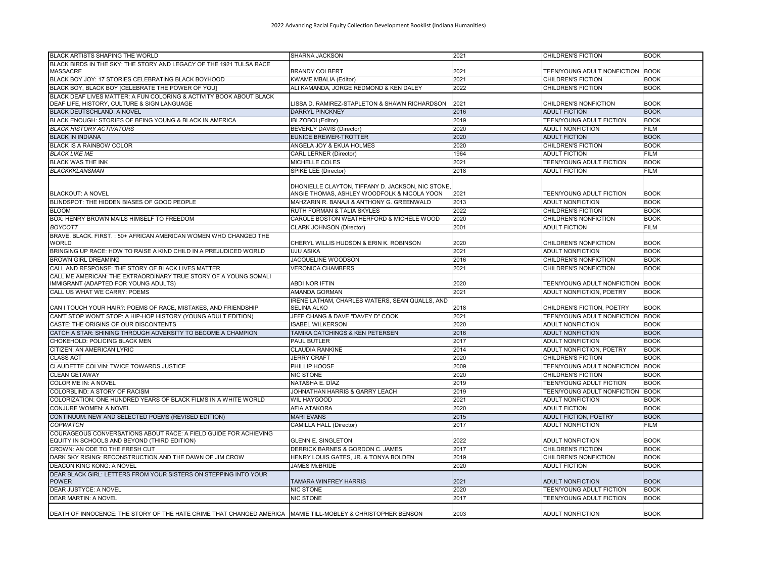| <b>BLACK ARTISTS SHAPING THE WORLD</b>                                                                      | SHARNA JACKSON                                                                                  | 2021 | <b>CHILDREN'S FICTION</b>        | <b>BOOK</b> |
|-------------------------------------------------------------------------------------------------------------|-------------------------------------------------------------------------------------------------|------|----------------------------------|-------------|
| BLACK BIRDS IN THE SKY: THE STORY AND LEGACY OF THE 1921 TULSA RACE<br><b>MASSACRE</b>                      | <b>BRANDY COLBERT</b>                                                                           | 2021 | TEEN/YOUNG ADULT NONFICTION BOOK |             |
| BLACK BOY JOY: 17 STORIES CELEBRATING BLACK BOYHOOD                                                         | <b>KWAME MBALIA (Editor)</b>                                                                    | 2021 | <b>CHILDREN'S FICTION</b>        | <b>BOOK</b> |
| BLACK BOY, BLACK BOY [CELEBRATE THE POWER OF YOU]                                                           | ALI KAMANDA, JORGE REDMOND & KEN DALEY                                                          | 2022 | <b>CHILDREN'S FICTION</b>        | <b>BOOK</b> |
| BLACK DEAF LIVES MATTER: A FUN COLORING & ACTIVITY BOOK ABOUT BLACK                                         |                                                                                                 |      |                                  |             |
| DEAF LIFE, HISTORY, CULTURE & SIGN LANGUAGE                                                                 | LISSA D. RAMIREZ-STAPLETON & SHAWN RICHARDSON                                                   | 2021 | CHILDREN'S NONFICTION            | <b>BOOK</b> |
| BLACK DEUTSCHLAND: A NOVEL                                                                                  | <b>DARRYL PINCKNEY</b>                                                                          | 2016 | <b>ADULT FICTION</b>             | <b>BOOK</b> |
| BLACK ENOUGH: STORIES OF BEING YOUNG & BLACK IN AMERICA                                                     | IBI ZOBOI (Editor)                                                                              | 2019 | TEEN/YOUNG ADULT FICTION         | <b>BOOK</b> |
| <b>BLACK HISTORY ACTIVATORS</b>                                                                             | <b>BEVERLY DAVIS (Director)</b>                                                                 | 2020 | ADULT NONFICTION                 | <b>FILM</b> |
| <b>BLACK IN INDIANA</b>                                                                                     | <b>EUNICE BREWER-TROTTER</b>                                                                    | 2020 | <b>ADULT FICTION</b>             | <b>BOOK</b> |
| BLACK IS A RAINBOW COLOR                                                                                    | ANGELA JOY & EKUA HOLMES                                                                        | 2020 | CHILDREN'S FICTION               | <b>BOOK</b> |
| <b>BLACK LIKE ME</b>                                                                                        | <b>CARL LERNER (Director)</b>                                                                   | 1964 | <b>ADULT FICTION</b>             | <b>FILM</b> |
| <b>BLACK WAS THE INK</b>                                                                                    | MICHELLE COLES                                                                                  | 2021 | TEEN/YOUNG ADULT FICTION         | <b>BOOK</b> |
| <b>BLACKKKLANSMAN</b>                                                                                       | SPIKE LEE (Director)                                                                            | 2018 | <b>ADULT FICTION</b>             | <b>FILM</b> |
| <b>BLACKOUT: A NOVEL</b>                                                                                    | DHONIELLE CLAYTON, TIFFANY D. JACKSON, NIC STONE<br>ANGIE THOMAS, ASHLEY WOODFOLK & NICOLA YOON | 2021 | TEEN/YOUNG ADULT FICTION         | <b>BOOK</b> |
| BLINDSPOT: THE HIDDEN BIASES OF GOOD PEOPLE                                                                 | MAHZARIN R. BANAJI & ANTHONY G. GREENWALD                                                       | 2013 | <b>ADULT NONFICTION</b>          | <b>BOOK</b> |
| <b>BLOOM</b>                                                                                                | RUTH FORMAN & TALIA SKYLES                                                                      | 2022 | <b>CHILDREN'S FICTION</b>        | <b>BOOK</b> |
| BOX: HENRY BROWN MAILS HIMSELF TO FREEDOM                                                                   | CAROLE BOSTON WEATHERFORD & MICHELE WOOD                                                        | 2020 | CHILDREN'S NONFICTION            | <b>BOOK</b> |
| <b>BOYCOTT</b>                                                                                              | CLARK JOHNSON (Director)                                                                        | 2001 | <b>ADULT FICTION</b>             | <b>FILM</b> |
| BRAVE, BLACK, FIRST, : 50+ AFRICAN AMERICAN WOMEN WHO CHANGED THE<br><b>WORLD</b>                           |                                                                                                 |      |                                  | <b>BOOK</b> |
|                                                                                                             | CHERYL WILLIS HUDSON & ERIN K. ROBINSON                                                         | 2020 | CHILDREN'S NONFICTION            |             |
| BRINGING UP RACE: HOW TO RAISE A KIND CHILD IN A PREJUDICED WORLD                                           | UJU ASIKA                                                                                       | 2021 | <b>ADULT NONFICTION</b>          | <b>BOOK</b> |
| <b>BROWN GIRL DREAMING</b>                                                                                  | <b>JACQUELINE WOODSON</b>                                                                       | 2016 | CHILDREN'S NONFICTION            | <b>BOOK</b> |
| CALL AND RESPONSE: THE STORY OF BLACK LIVES MATTER                                                          | <b>VERONICA CHAMBERS</b>                                                                        | 2021 | CHILDREN'S NONFICTION            | <b>BOOK</b> |
| CALL ME AMERICAN: THE EXTRAORDINARY TRUE STORY OF A YOUNG SOMALI<br>IMMIGRANT (ADAPTED FOR YOUNG ADULTS)    | ABDI NOR IFTIN                                                                                  | 2020 | TEEN/YOUNG ADULT NONFICTION BOOK |             |
| CALL US WHAT WE CARRY: POEMS                                                                                | AMANDA GORMAN                                                                                   | 2021 | ADULT NONFICTION, POETRY         | <b>BOOK</b> |
| CAN I TOUCH YOUR HAIR?: POEMS OF RACE, MISTAKES, AND FRIENDSHIP                                             | IRENE LATHAM, CHARLES WATERS, SEAN QUALLS, AND<br><b>SELINA ALKO</b>                            | 2018 | CHILDREN'S FICTION, POETRY       | <b>BOOK</b> |
| CAN'T STOP WON'T STOP: A HIP-HOP HISTORY (YOUNG ADULT EDITION)                                              | JEFF CHANG & DAVE "DAVEY D" COOK                                                                | 2021 | TEEN/YOUNG ADULT NONFICTION BOOK |             |
| CASTE: THE ORIGINS OF OUR DISCONTENTS                                                                       | ISABEL WILKERSON                                                                                | 2020 | <b>ADULT NONFICTION</b>          | <b>BOOK</b> |
| CATCH A STAR: SHINING THROUGH ADVERSITY TO BECOME A CHAMPION                                                | TAMIKA CATCHINGS & KEN PETERSEN                                                                 | 2016 | <b>ADULT NONFICTION</b>          | <b>BOOK</b> |
| CHOKEHOLD: POLICING BLACK MEN                                                                               | PAUL BUTLER                                                                                     | 2017 | <b>ADULT NONFICTION</b>          | <b>BOOK</b> |
| CITIZEN: AN AMERICAN LYRIC                                                                                  | CLAUDIA RANKINE                                                                                 | 2014 | ADULT NONFICTION, POETRY         | <b>BOOK</b> |
| <b>CLASS ACT</b>                                                                                            | <b>JERRY CRAFT</b>                                                                              | 2020 | CHILDREN'S FICTION               | <b>BOOK</b> |
| CLAUDETTE COLVIN: TWICE TOWARDS JUSTICE                                                                     | PHILLIP HOOSE                                                                                   | 2009 | TEEN/YOUNG ADULT NONFICTION BOOK |             |
| <b>CLEAN GETAWAY</b>                                                                                        | <b>NIC STONE</b>                                                                                | 2020 | <b>CHILDREN'S FICTION</b>        | <b>BOOK</b> |
| COLOR ME IN: A NOVEL                                                                                        | NATASHA E. DÍAZ                                                                                 | 2019 | TEEN/YOUNG ADULT FICTION         | <b>BOOK</b> |
| COLORBLIND: A STORY OF RACISM                                                                               | JOHNATHAN HARRIS & GARRY LEACH                                                                  | 2019 | TEEN/YOUNG ADULT NONFICTION BOOK |             |
| COLORIZATION: ONE HUNDRED YEARS OF BLACK FILMS IN A WHITE WORLD                                             | WIL HAYGOOD                                                                                     | 2021 | <b>ADULT NONFICTION</b>          | <b>BOOK</b> |
| CONJURE WOMEN: A NOVEL                                                                                      | AFIA ATAKORA                                                                                    | 2020 | <b>ADULT FICTION</b>             | <b>BOOK</b> |
| CONTINUUM: NEW AND SELECTED POEMS (REVISED EDITION)                                                         | <b>MARI EVANS</b>                                                                               | 2015 | <b>ADULT FICTION, POETRY</b>     | <b>BOOK</b> |
| <b>COPWATCH</b>                                                                                             | CAMILLA HALL (Director)                                                                         | 2017 | <b>ADULT NONFICTION</b>          | <b>FILM</b> |
| COURAGEOUS CONVERSATIONS ABOUT RACE: A FIELD GUIDE FOR ACHIEVING                                            | <b>GLENN E. SINGLETON</b>                                                                       | 2022 | <b>ADULT NONFICTION</b>          | <b>BOOK</b> |
| EQUITY IN SCHOOLS AND BEYOND (THIRD EDITION)<br>CROWN: AN ODE TO THE FRESH CUT                              | DERRICK BARNES & GORDON C. JAMES                                                                | 2017 | <b>CHILDREN'S FICTION</b>        | <b>BOOK</b> |
| DARK SKY RISING: RECONSTRUCTION AND THE DAWN OF JIM CROW                                                    | HENRY LOUIS GATES, JR. & TONYA BOLDEN                                                           | 2019 | CHILDREN'S NONFICTION            | <b>BOOK</b> |
| <b>DEACON KING KONG: A NOVEL</b>                                                                            | <b>JAMES McBRIDE</b>                                                                            | 2020 | <b>ADULT FICTION</b>             | <b>BOOK</b> |
|                                                                                                             |                                                                                                 |      |                                  |             |
| DEAR BLACK GIRL: LETTERS FROM YOUR SISTERS ON STEPPING INTO YOUR<br><b>POWER</b>                            | TAMARA WINFREY HARRIS                                                                           | 2021 | <b>ADULT NONFICTION</b>          | <b>BOOK</b> |
| DEAR JUSTYCE: A NOVEL                                                                                       | <b>NIC STONE</b>                                                                                | 2020 | TEEN/YOUNG ADULT FICTION         | <b>BOOK</b> |
| <b>DEAR MARTIN: A NOVEL</b>                                                                                 | <b>NIC STONE</b>                                                                                | 2017 | TEEN/YOUNG ADULT FICTION         | <b>BOOK</b> |
| DEATH OF INNOCENCE: THE STORY OF THE HATE CRIME THAT CHANGED AMERICA MAMIE TILL-MOBLEY & CHRISTOPHER BENSON |                                                                                                 | 2003 | <b>ADULT NONFICTION</b>          | <b>BOOK</b> |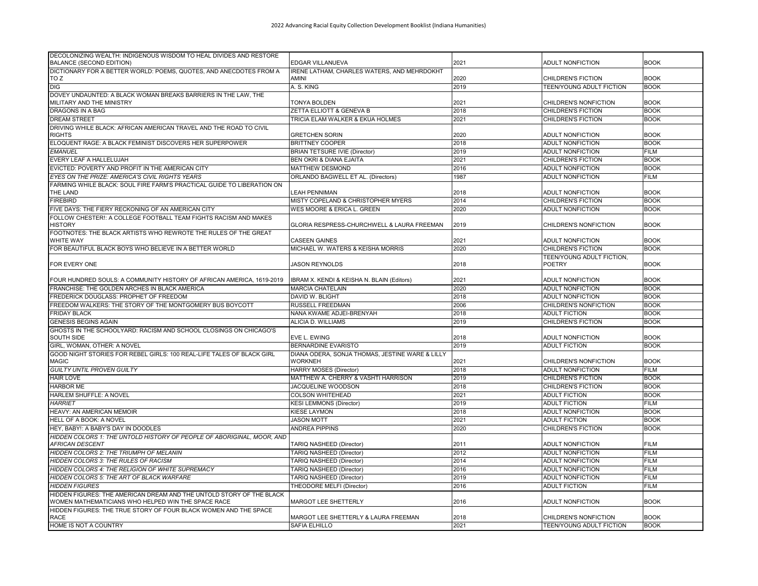| DECOLONIZING WEALTH: INDIGENOUS WISDOM TO HEAL DIVIDES AND RESTORE<br><b>BALANCE (SECOND EDITION)</b>                      | EDGAR VILLANUEVA                                | 2021 | <b>ADULT NONFICTION</b>             | <b>BOOK</b> |
|----------------------------------------------------------------------------------------------------------------------------|-------------------------------------------------|------|-------------------------------------|-------------|
| DICTIONARY FOR A BETTER WORLD: POEMS, QUOTES, AND ANECDOTES FROM A                                                         | IRENE LATHAM, CHARLES WATERS, AND MEHRDOKHT     |      |                                     |             |
| TO Z                                                                                                                       | AMINI                                           | 2020 | <b>CHILDREN'S FICTION</b>           | <b>BOOK</b> |
| <b>DIG</b>                                                                                                                 | A. S. KING                                      | 2019 | TEEN/YOUNG ADULT FICTION            | <b>BOOK</b> |
| DOVEY UNDAUNTED: A BLACK WOMAN BREAKS BARRIERS IN THE LAW, THE                                                             |                                                 |      |                                     |             |
| MILITARY AND THE MINISTRY                                                                                                  | <b>TONYA BOLDEN</b>                             | 2021 | CHILDREN'S NONFICTION               | <b>BOOK</b> |
| <b>DRAGONS IN A BAG</b>                                                                                                    | ZETTA ELLIOTT & GENEVA B                        | 2018 | <b>CHILDREN'S FICTION</b>           | <b>BOOK</b> |
| <b>DREAM STREET</b>                                                                                                        | TRICIA ELAM WALKER & EKUA HOLMES                | 2021 | <b>CHILDREN'S FICTION</b>           | <b>BOOK</b> |
| DRIVING WHILE BLACK: AFRICAN AMERICAN TRAVEL AND THE ROAD TO CIVIL                                                         |                                                 |      |                                     |             |
| <b>RIGHTS</b>                                                                                                              | <b>GRETCHEN SORIN</b>                           | 2020 | <b>ADULT NONFICTION</b>             | <b>BOOK</b> |
| ELOQUENT RAGE: A BLACK FEMINIST DISCOVERS HER SUPERPOWER                                                                   | <b>BRITTNEY COOPER</b>                          | 2018 | <b>ADULT NONFICTION</b>             | <b>BOOK</b> |
| <b>EMANUEL</b>                                                                                                             | <b>BRIAN TETSURE IVIE (Director)</b>            | 2019 | <b>ADULT NONFICTION</b>             | <b>FILM</b> |
| EVERY LEAF A HALLELUJAH                                                                                                    | BEN OKRI & DIANA EJAITA                         | 2021 | <b>CHILDREN'S FICTION</b>           | <b>BOOK</b> |
|                                                                                                                            |                                                 |      |                                     |             |
| EVICTED: POVERTY AND PROFIT IN THE AMERICAN CITY                                                                           | MATTHEW DESMOND                                 | 2016 | <b>ADULT NONFICTION</b>             | <b>BOOK</b> |
| EYES ON THE PRIZE: AMERICA'S CIVIL RIGHTS YEARS                                                                            | ORLANDO BAGWELL ET AL. (Directors)              | 1987 | <b>ADULT NONFICTION</b>             | <b>FILM</b> |
| FARMING WHILE BLACK: SOUL FIRE FARM'S PRACTICAL GUIDE TO LIBERATION ON<br>THE LAND                                         | LEAH PENNIMAN                                   | 2018 | <b>ADULT NONFICTION</b>             | <b>BOOK</b> |
| <b>FIREBIRD</b>                                                                                                            | MISTY COPELAND & CHRISTOPHER MYERS              | 2014 | <b>CHILDREN'S FICTION</b>           | <b>BOOK</b> |
|                                                                                                                            |                                                 |      |                                     |             |
| FIVE DAYS: THE FIERY RECKONING OF AN AMERICAN CITY                                                                         | WES MOORE & ERICA L. GREEN                      | 2020 | <b>ADULT NONFICTION</b>             | <b>BOOK</b> |
| FOLLOW CHESTER!: A COLLEGE FOOTBALL TEAM FIGHTS RACISM AND MAKES<br><b>HISTORY</b>                                         | GLORIA RESPRESS-CHURCHWELL & LAURA FREEMAN      | 2019 | CHILDREN'S NONFICTION               | <b>BOOK</b> |
| FOOTNOTES: THE BLACK ARTISTS WHO REWROTE THE RULES OF THE GREAT                                                            |                                                 |      |                                     |             |
| <b>WHITE WAY</b>                                                                                                           | CASEEN GAINES                                   | 2021 | <b>ADULT NONFICTION</b>             | <b>BOOK</b> |
| FOR BEAUTIFUL BLACK BOYS WHO BELIEVE IN A BETTER WORLD                                                                     | MICHAEL W. WATERS & KEISHA MORRIS               | 2020 | <b>CHILDREN'S FICTION</b>           | <b>BOOK</b> |
| <b>FOR EVERY ONE</b>                                                                                                       | <b>JASON REYNOLDS</b>                           | 2018 | TEEN/YOUNG ADULT FICTION,<br>POETRY | <b>BOOK</b> |
|                                                                                                                            |                                                 |      |                                     |             |
| FOUR HUNDRED SOULS: A COMMUNITY HISTORY OF AFRICAN AMERICA, 1619-2019                                                      | IBRAM X. KENDI & KEISHA N. BLAIN (Editors)      | 2021 | <b>ADULT NONFICTION</b>             | <b>BOOK</b> |
| FRANCHISE: THE GOLDEN ARCHES IN BLACK AMERICA                                                                              | <b>MARCIA CHATELAIN</b>                         | 2020 | <b>ADULT NONFICTION</b>             | <b>BOOK</b> |
| FREDERICK DOUGLASS: PROPHET OF FREEDOM                                                                                     | DAVID W. BLIGHT                                 | 2018 | <b>ADULT NONFICTION</b>             | <b>BOOK</b> |
| FREEDOM WALKERS: THE STORY OF THE MONTGOMERY BUS BOYCOTT                                                                   | RUSSELL FREEDMAN                                | 2006 | CHILDREN'S NONFICTION               | <b>BOOK</b> |
| <b>FRIDAY BLACK</b>                                                                                                        | NANA KWAME ADJEI-BRENYAH                        | 2018 | <b>ADULT FICTION</b>                | <b>BOOK</b> |
| <b>GENESIS BEGINS AGAIN</b>                                                                                                | ALICIA D. WILLIAMS                              | 2019 | <b>CHILDREN'S FICTION</b>           | <b>BOOK</b> |
| GHOSTS IN THE SCHOOLYARD: RACISM AND SCHOOL CLOSINGS ON CHICAGO'S                                                          |                                                 |      |                                     |             |
| <b>SOUTH SIDE</b>                                                                                                          | EVE L. EWING                                    | 2018 | <b>ADULT NONFICTION</b>             | <b>BOOK</b> |
| GIRL, WOMAN, OTHER: A NOVEL                                                                                                | <b>BERNARDINE EVARISTO</b>                      | 2019 | <b>ADULT FICTION</b>                | <b>BOOK</b> |
| GOOD NIGHT STORIES FOR REBEL GIRLS: 100 REAL-LIFE TALES OF BLACK GIRL                                                      | DIANA ODERA, SONJA THOMAS, JESTINE WARE & LILLY |      |                                     |             |
| <b>MAGIC</b>                                                                                                               | WORKNEH                                         | 2021 | CHILDREN'S NONFICTION               | <b>BOOK</b> |
| <b>GUILTY UNTIL PROVEN GUILTY</b>                                                                                          | <b>HARRY MOSES (Director)</b>                   | 2018 | <b>ADULT NONFICTION</b>             | <b>FILM</b> |
| <b>HAIR LOVE</b>                                                                                                           | MATTHEW A. CHERRY & VASHTI HARRISON             | 2019 | <b>CHILDREN'S FICTION</b>           | <b>BOOK</b> |
| <b>HARBOR ME</b>                                                                                                           | JACQUELINE WOODSON                              | 2018 | CHILDREN'S FICTION                  | <b>BOOK</b> |
| <b>HARLEM SHUFFLE: A NOVEL</b>                                                                                             | COLSON WHITEHEAD                                | 2021 | <b>ADULT FICTION</b>                | <b>BOOK</b> |
| <b>HARRIET</b>                                                                                                             | <b>KESI LEMMONS (Director)</b>                  | 2019 | <b>ADULT FICTION</b>                | <b>FILM</b> |
| HEAVY: AN AMERICAN MEMOIR                                                                                                  | KIESE LAYMON                                    | 2018 | <b>ADULT NONFICTION</b>             | <b>BOOK</b> |
|                                                                                                                            |                                                 |      | <b>ADULT FICTION</b>                | <b>BOOK</b> |
| <b>HELL OF A BOOK: A NOVEL</b>                                                                                             | <b>JASON MOTT</b>                               | 2021 |                                     |             |
| HEY, BABY!: A BABY'S DAY IN DOODLES                                                                                        | <b>ANDREA PIPPINS</b>                           | 2020 | <b>CHILDREN'S FICTION</b>           | <b>BOOK</b> |
| HIDDEN COLORS 1: THE UNTOLD HISTORY OF PEOPLE OF ABORIGINAL. MOOR. AND                                                     |                                                 |      |                                     |             |
| AFRICAN DESCENT                                                                                                            | TARIQ NASHEED (Director)                        | 2011 | ADULT NONFICTION                    | <b>FILM</b> |
| HIDDEN COLORS 2: THE TRIUMPH OF MELANIN                                                                                    | TARIQ NASHEED (Director)                        | 2012 | ADULT NONFICTION                    | <b>FILM</b> |
| <b>HIDDEN COLORS 3: THE RULES OF RACISM</b>                                                                                | TARIQ NASHEED (Director)                        | 2014 | <b>ADULT NONFICTION</b>             | <b>FILM</b> |
| <b>HIDDEN COLORS 4: THE RELIGION OF WHITE SUPREMACY</b>                                                                    | TARIQ NASHEED (Director)                        | 2016 | <b>ADULT NONFICTION</b>             | <b>FILM</b> |
| HIDDEN COLORS 5: THE ART OF BLACK WARFARE                                                                                  | TARIQ NASHEED (Director)                        | 2019 | <b>ADULT NONFICTION</b>             | <b>FILM</b> |
| <b>HIDDEN FIGURES</b>                                                                                                      | THEODORE MELFI (Director)                       | 2016 | <b>ADULT FICTION</b>                | <b>FILM</b> |
| HIDDEN FIGURES: THE AMERICAN DREAM AND THE UNTOLD STORY OF THE BLACK<br>WOMEN MATHEMATICIANS WHO HELPED WIN THE SPACE RACE | MARGOT LEE SHETTERLY                            | 2016 | ADULT NONFICTION                    | <b>BOOK</b> |
| HIDDEN FIGURES: THE TRUE STORY OF FOUR BLACK WOMEN AND THE SPACE                                                           |                                                 |      |                                     |             |
| <b>RACE</b>                                                                                                                | MARGOT LEE SHETTERLY & LAURA FREEMAN            | 2018 | CHILDREN'S NONFICTION               | <b>BOOK</b> |
| HOME IS NOT A COUNTRY                                                                                                      | SAFIA ELHILLO                                   | 2021 | TEEN/YOUNG ADULT FICTION            | <b>BOOK</b> |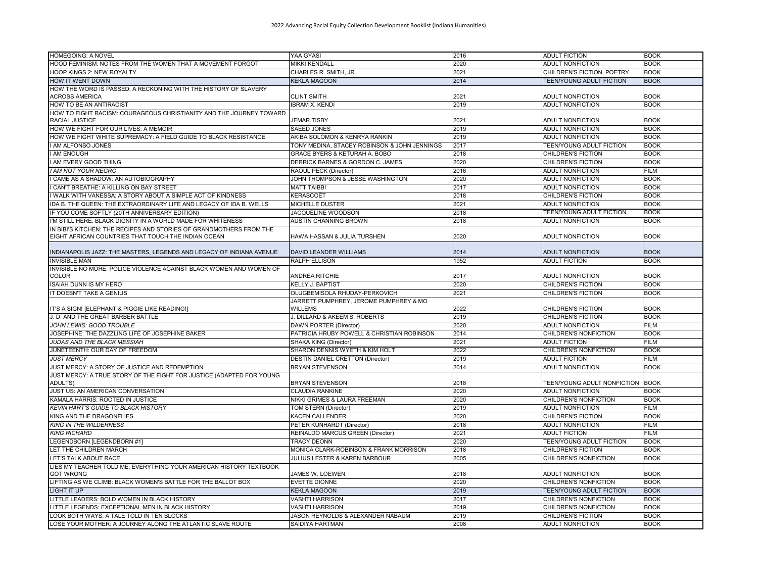| <b>HOMEGOING: A NOVEL</b>                                                                                                  | YAA GYASI                                         | 2016 | <b>ADULT FICTION</b>             | <b>BOOK</b> |
|----------------------------------------------------------------------------------------------------------------------------|---------------------------------------------------|------|----------------------------------|-------------|
| HOOD FEMINISM: NOTES FROM THE WOMEN THAT A MOVEMENT FORGOT                                                                 | MIKKI KENDALL                                     | 2020 | <b>ADULT NONFICTION</b>          | <b>BOOK</b> |
| <b>HOOP KINGS 2: NEW ROYALTY</b>                                                                                           | CHARLES R. SMITH. JR.                             | 2021 | CHILDREN'S FICTION, POETRY       | <b>BOOK</b> |
| <b>HOW IT WENT DOWN</b>                                                                                                    | <b>KEKLA MAGOON</b>                               | 2014 | <b>TEEN/YOUNG ADULT FICTION</b>  | <b>BOOK</b> |
| HOW THE WORD IS PASSED: A RECKONING WITH THE HISTORY OF SLAVERY                                                            |                                                   |      |                                  |             |
| ACROSS AMERICA                                                                                                             | <b>CLINT SMITH</b>                                | 2021 | ADULT NONFICTION                 | <b>BOOK</b> |
| HOW TO BE AN ANTIRACIST                                                                                                    | <b>IBRAM X. KENDI</b>                             | 2019 | <b>ADULT NONFICTION</b>          | <b>BOOK</b> |
| HOW TO FIGHT RACISM: COURAGEOUS CHRISTIANITY AND THE JOURNEY TOWARD<br>RACIAL JUSTICE                                      | <b>JEMAR TISBY</b>                                | 2021 | <b>ADULT NONFICTION</b>          | <b>BOOK</b> |
| HOW WE FIGHT FOR OUR LIVES: A MEMOIR                                                                                       | <b>SAEED JONES</b>                                | 2019 | <b>ADULT NONFICTION</b>          | <b>BOOK</b> |
| HOW WE FIGHT WHITE SUPREMACY: A FIELD GUIDE TO BLACK RESISTANCE                                                            | AKIBA SOLOMON & KENRYA RANKIN                     | 2019 | ADULT NONFICTION                 | <b>BOOK</b> |
| I AM ALFONSO JONES                                                                                                         | TONY MEDINA, STACEY ROBINSON & JOHN JENNINGS      | 2017 | TEEN/YOUNG ADULT FICTION         | <b>BOOK</b> |
| AM ENOUGH                                                                                                                  | GRACE BYERS & KETURAH A. BOBO                     | 2018 | <b>CHILDREN'S FICTION</b>        | <b>BOOK</b> |
| I AM EVERY GOOD THING                                                                                                      | DERRICK BARNES & GORDON C. JAMES                  | 2020 | <b>CHILDREN'S FICTION</b>        | <b>BOOK</b> |
| I AM NOT YOUR NEGRO                                                                                                        | RAOUL PECK (Director)                             | 2016 | <b>ADULT NONFICTION</b>          | <b>FILM</b> |
| CAME AS A SHADOW: AN AUTOBIOGRAPHY                                                                                         | JOHN THOMPSON & JESSE WASHINGTON                  | 2020 | <b>ADULT NONFICTION</b>          | <b>BOOK</b> |
| I CAN'T BREATHE: A KILLING ON BAY STREET                                                                                   | <b>MATT TAIBBI</b>                                | 2017 | <b>ADULT NONFICTION</b>          | <b>BOOK</b> |
| WALK WITH VANESSA: A STORY ABOUT A SIMPLE ACT OF KINDNESS                                                                  | KERASCOËT                                         | 2018 | CHILDREN'S FICTION               | <b>BOOK</b> |
| IDA B. THE QUEEN: THE EXTRAORDINARY LIFE AND LEGACY OF IDA B. WELLS                                                        | <b>MICHELLE DUSTER</b>                            | 2021 | <b>ADULT NONFICTION</b>          | <b>BOOK</b> |
| IF YOU COME SOFTLY (20TH ANNIVERSARY EDITION)                                                                              | JACQUELINE WOODSON                                | 2018 | TEEN/YOUNG ADULT FICTION         | <b>BOOK</b> |
| I'M STILL HERE: BLACK DIGNITY IN A WORLD MADE FOR WHITENESS                                                                | <b>AUSTIN CHANNING BROWN</b>                      | 2018 | <b>ADULT NONFICTION</b>          | <b>BOOK</b> |
| IN BIBI'S KITCHEN: THE RECIPES AND STORIES OF GRANDMOTHERS FROM THE<br>EIGHT AFRICAN COUNTRIES THAT TOUCH THE INDIAN OCEAN | HAWA HASSAN & JULIA TURSHEN                       | 2020 | <b>ADULT NONFICTION</b>          | <b>BOOK</b> |
| INDIANAPOLIS JAZZ: THE MASTERS, LEGENDS AND LEGACY OF INDIANA AVENUE                                                       | DAVID LEANDER WILLIAMS                            | 2014 | <b>ADULT NONFICTION</b>          | <b>BOOK</b> |
| <b>INVISIBLE MAN</b>                                                                                                       | <b>RALPH ELLISON</b>                              | 1952 | <b>ADULT FICTION</b>             | <b>BOOK</b> |
| INVISIBLE NO MORE: POLICE VIOLENCE AGAINST BLACK WOMEN AND WOMEN OF<br><b>COLOR</b>                                        | ANDREA RITCHIE                                    | 2017 | <b>ADULT NONFICTION</b>          | <b>BOOK</b> |
| <b>ISAIAH DUNN IS MY HERO</b>                                                                                              | <b>KELLY J. BAPTIST</b>                           | 2020 | <b>CHILDREN'S FICTION</b>        | <b>BOOK</b> |
| IT DOESN'T TAKE A GENIUS                                                                                                   | OLUGBEMISOLA RHUDAY-PERKOVICH                     | 2021 | <b>CHILDREN'S FICTION</b>        | <b>BOOK</b> |
| IT'S A SIGN! [ELEPHANT & PIGGIE LIKE READING!]                                                                             | JARRETT PUMPHREY, JEROME PUMPHREY & MO<br>WILLEMS | 2022 | <b>CHILDREN'S FICTION</b>        | <b>BOOK</b> |
| J. D. AND THE GREAT BARBER BATTLE                                                                                          | J. DILLARD & AKEEM S. ROBERTS                     | 2019 | <b>CHILDREN'S FICTION</b>        | <b>BOOK</b> |
| JOHN LEWIS: GOOD TROUBLE                                                                                                   | <b>DAWN PORTER (Director)</b>                     | 2020 | <b>ADULT NONFICTION</b>          | <b>FILM</b> |
| JOSEPHINE: THE DAZZLING LIFE OF JOSEPHINE BAKER                                                                            | PATRICIA HRUBY POWELL & CHRISTIAN ROBINSON        | 2014 | CHILDREN'S NONFICTION            | <b>BOOK</b> |
| <b>JUDAS AND THE BLACK MESSIAH</b>                                                                                         | SHAKA KING (Director)                             | 2021 | <b>ADULT FICTION</b>             | <b>FILM</b> |
| JUNETEENTH: OUR DAY OF FREEDOM                                                                                             | SHARON DENNIS WYETH & KIM HOLT                    | 2022 | CHILDREN'S NONFICTION            | <b>BOOK</b> |
| <b>JUST MERCY</b>                                                                                                          | DESTIN DANIEL CRETTON (Director)                  | 2019 | <b>ADULT FICTION</b>             | <b>FILM</b> |
| JUST MERCY: A STORY OF JUSTICE AND REDEMPTION                                                                              | <b>BRYAN STEVENSON</b>                            | 2014 | <b>ADULT NONFICTION</b>          | <b>BOOK</b> |
| JUST MERCY: A TRUE STORY OF THE FIGHT FOR JUSTICE (ADAPTED FOR YOUNG<br>ADULTS)                                            | <b>BRYAN STEVENSON</b>                            | 2018 | TEEN/YOUNG ADULT NONFICTION BOOK |             |
| JUST US: AN AMERICAN CONVERSATION                                                                                          | <b>CLAUDIA RANKINE</b>                            | 2020 | <b>ADULT NONFICTION</b>          | <b>BOOK</b> |
| KAMALA HARRIS: ROOTED IN JUSTICE                                                                                           | NIKKI GRIMES & LAURA FREEMAN                      | 2020 | CHILDREN'S NONFICTION            | <b>BOOK</b> |
| <b>KEVIN HART'S GUIDE TO BLACK HISTORY</b>                                                                                 | TOM STERN (Director)                              | 2019 | ADULT NONFICTION                 | <b>FILM</b> |
| KING AND THE DRAGONFLIES                                                                                                   | KACEN CALLENDER                                   | 2020 | <b>CHILDREN'S FICTION</b>        | <b>BOOK</b> |
| <b>KING IN THE WILDERNESS</b>                                                                                              | PETER KUNHARDT (Director)                         | 2018 | <b>ADULT NONFICTION</b>          | <b>FILM</b> |
| <b>KING RICHARD</b>                                                                                                        | REINALDO MARCUS GREEN (Director)                  | 2021 | <b>ADULT FICTION</b>             | <b>FILM</b> |
| LEGENDBORN [LEGENDBORN #1]                                                                                                 | <b>TRACY DEONN</b>                                | 2020 | <b>TEEN/YOUNG ADULT FICTION</b>  | <b>BOOK</b> |
| LET THE CHILDREN MARCH                                                                                                     | MONICA CLARK-ROBINSON & FRANK MORRISON            | 2018 | CHILDREN'S FICTION               | <b>BOOK</b> |
| <b>LET'S TALK ABOUT RACE</b>                                                                                               | <b>JULIUS LESTER &amp; KAREN BARBOUR</b>          | 2005 | CHILDREN'S NONFICTION            | <b>BOOK</b> |
| LIES MY TEACHER TOLD ME: EVERYTHING YOUR AMERICAN HISTORY TEXTBOOK<br><b>GOT WRONG</b>                                     | JAMES W. LOEWEN                                   | 2018 | <b>ADULT NONFICTION</b>          | <b>BOOK</b> |
| LIFTING AS WE CLIMB: BLACK WOMEN'S BATTLE FOR THE BALLOT BOX                                                               | <b>EVETTE DIONNE</b>                              | 2020 | CHILDREN'S NONFICTION            | <b>BOOK</b> |
| <b>LIGHT IT UP</b>                                                                                                         | <b>KEKLA MAGOON</b>                               | 2019 | TEEN/YOUNG ADULT FICTION         | <b>BOOK</b> |
| LITTLE LEADERS: BOLD WOMEN IN BLACK HISTORY                                                                                | <b>VASHTI HARRISON</b>                            | 2017 | CHILDREN'S NONFICTION            | <b>BOOK</b> |
| LITTLE LEGENDS: EXCEPTIONAL MEN IN BLACK HISTORY                                                                           | <b>VASHTI HARRISON</b>                            | 2019 | CHILDREN'S NONFICTION            | <b>BOOK</b> |
| LOOK BOTH WAYS: A TALE TOLD IN TEN BLOCKS                                                                                  | JASON REYNOLDS & ALEXANDER NABAUM                 | 2019 | <b>CHILDREN'S FICTION</b>        | <b>BOOK</b> |
| LOSE YOUR MOTHER: A JOURNEY ALONG THE ATLANTIC SLAVE ROUTE                                                                 | SAIDIYA HARTMAN                                   | 2008 | <b>ADULT NONFICTION</b>          | <b>BOOK</b> |
|                                                                                                                            |                                                   |      |                                  |             |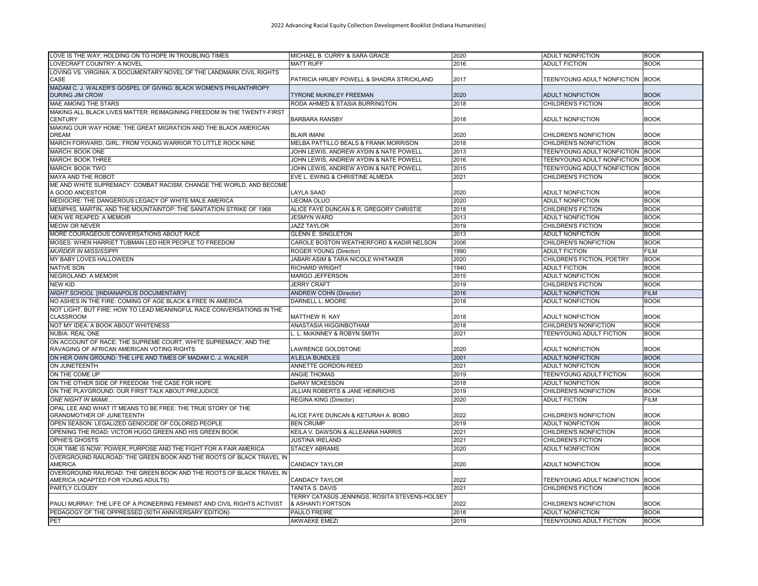| <b>ADULT FICTION</b><br>LOVECRAFT COUNTRY: A NOVEL<br><b>MATT RUFF</b><br>2016<br><b>BOOK</b><br>LOVING VS. VIRGINIA: A DOCUMENTARY NOVEL OF THE LANDMARK CIVIL RIGHTS<br>CASE<br>PATRICIA HRUBY POWELL & SHADRA STRICKLAND<br>2017<br>TEEN/YOUNG ADULT NONFICTION BOOK<br>MADAM C. J. WALKER'S GOSPEL OF GIVING: BLACK WOMEN'S PHILANTHROPY<br>2020<br><b>BOOK</b><br><b>DURING JIM CROW</b><br><b>TYRONE McKINLEY FREEMAN</b><br><b>ADULT NONFICTION</b><br><b>MAE AMONG THE STARS</b><br>RODA AHMED & STASIA BURRINGTON<br>2018<br><b>CHILDREN'S FICTION</b><br><b>BOOK</b><br>MAKING ALL BLACK LIVES MATTER: REIMAGINING FREEDOM IN THE TWENTY-FIRST<br><b>CENTURY</b><br><b>BARBARA RANSBY</b><br>2018<br><b>ADULT NONFICTION</b><br><b>BOOK</b><br>MAKING OUR WAY HOME: THE GREAT MIGRATION AND THE BLACK AMERICAN<br><b>BLAIR IMANI</b><br><b>BOOK</b><br><b>DREAM</b><br>2020<br>CHILDREN'S NONFICTION<br>MARCH FORWARD, GIRL: FROM YOUNG WARRIOR TO LITTLE ROCK NINE<br>MELBA PATTILLO BEALS & FRANK MORRISON<br>2018<br>CHILDREN'S NONFICTION<br><b>BOOK</b><br>MARCH: BOOK ONE<br><b>BOOK</b><br>JOHN LEWIS. ANDREW AYDIN & NATE POWELL<br>2013<br>TEEN/YOUNG ADULT NONFICTION<br><b>BOOK</b><br><b>MARCH: BOOK THREE</b><br>JOHN LEWIS, ANDREW AYDIN & NATE POWELL<br>2016<br>TEEN/YOUNG ADULT NONFICTION<br>MARCH: BOOK TWO<br>JOHN LEWIS, ANDREW AYDIN & NATE POWELL<br>2015<br>TEEN/YOUNG ADULT NONFICTION BOOK<br>EVE L. EWING & CHRISTINE ALMEDA<br>2021<br>CHILDREN'S FICTION<br><b>MAYA AND THE ROBOT</b><br><b>BOOK</b><br>ME AND WHITE SUPREMACY: COMBAT RACISM, CHANGE THE WORLD, AND BECOME<br>A GOOD ANCESTOR<br>2020<br><b>ADULT NONFICTION</b><br><b>BOOK</b><br>LAYLA SAAD<br>MEDIOCRE: THE DANGEROUS LEGACY OF WHITE MALE AMERICA<br><b>IJEOMA OLUO</b><br>2020<br><b>BOOK</b><br><b>ADULT NONFICTION</b><br>2018<br>MEMPHIS, MARTIN, AND THE MOUNTAINTOP: THE SANITATION STRIKE OF 1968<br>ALICE FAYE DUNCAN & R. GREGORY CHRISTIE<br>CHILDREN'S FICTION<br><b>BOOK</b><br>MEN WE REAPED: A MEMOIR<br>JESMYN WARD<br>2013<br><b>ADULT NONFICTION</b><br><b>BOOK</b><br><b>MEOW OR NEVER</b><br><b>JAZZ TAYLOR</b><br>CHILDREN'S FICTION<br><b>BOOK</b><br>2019<br>MORE COURAGEOUS CONVERSATIONS ABOUT RACE<br>2013<br>ADULT NONFICTION<br><b>BOOK</b><br><b>GLENN E. SINGLETON</b><br>MOSES: WHEN HARRIET TUBMAN LED HER PEOPLE TO FREEDOM<br>CAROLE BOSTON WEATHERFORD & KADIR NELSON<br><b>BOOK</b><br>2006<br>CHILDREN'S NONFICTION<br><b>MURDER IN MISSISSIPPI</b><br>ROGER YOUNG (Director)<br>1990<br><b>ADULT FICTION</b><br><b>FILM</b><br>2020<br><b>BOOK</b><br>MY BABY LOVES HALLOWEEN<br>JABARI ASIM & TARA NICOLE WHITAKER<br>CHILDREN'S FICTION, POETRY<br><b>NATIVE SON</b><br>1940<br><b>BOOK</b><br>RICHARD WRIGHT<br><b>ADULT FICTION</b><br><b>NEGROLAND: A MEMOIR</b><br><b>MARGO JEFFERSON</b><br>2015<br><b>BOOK</b><br><b>ADULT NONFICTION</b><br><b>NEW KID</b><br><b>JERRY CRAFT</b><br>2019<br><b>BOOK</b><br><b>CHILDREN'S FICTION</b><br>NIGHT SCHOOL [INDIANAPOLIS DOCUMENTARY]<br><b>ANDREW COHN (Director)</b><br>2016<br><b>ADULT NONFICTION</b><br><b>FILM</b><br>2018<br><b>BOOK</b><br>NO ASHES IN THE FIRE: COMING OF AGE BLACK & FREE IN AMERICA<br>DARNELL L. MOORE<br><b>ADULT NONFICTION</b><br>NOT LIGHT. BUT FIRE: HOW TO LEAD MEANINGFUL RACE CONVERSATIONS IN THE<br><b>CLASSROOM</b><br>2018<br><b>BOOK</b><br>MATTHEW R. KAY<br><b>ADULT NONFICTION</b><br>NOT MY IDEA: A BOOK ABOUT WHITENESS<br>ANASTASIA HIGGINBOTHAM<br>2018<br>CHILDREN'S NONFICTION<br><b>BOOK</b><br><b>NUBIA: REAL ONE</b><br>L. McKINNEY & ROBYN SMITH<br>2021<br><b>TEEN/YOUNG ADULT FICTION</b><br><b>BOOK</b><br>ON ACCOUNT OF RACE: THE SUPREME COURT, WHITE SUPREMACY, AND THE<br>RAVAGING OF AFRICAN AMERICAN VOTING RIGHTS<br><b>BOOK</b><br>LAWRENCE GOLDSTONE<br>2020<br><b>ADULT NONFICTION</b><br>ON HER OWN GROUND: THE LIFE AND TIMES OF MADAM C. J. WALKER<br><b>BOOK</b><br><b>A'LELIA BUNDLES</b><br>2001<br><b>ADULT NONFICTION</b><br>ON JUNETEENTH<br>ANNETTE GORDON-REED<br>2021<br><b>BOOK</b><br><b>ADULT NONFICTION</b><br><b>BOOK</b><br>ON THE COME UP<br>ANGIE THOMAS<br>2019<br><b>TEEN/YOUNG ADULT FICTION</b><br>ON THE OTHER SIDE OF FREEDOM: THE CASE FOR HOPE<br>2018<br><b>BOOK</b><br><b>DeRAY MCKESSON</b><br><b>ADULT NONFICTION</b><br>ON THE PLAYGROUND: OUR FIRST TALK ABOUT PREJUDICE<br>JILLIAN ROBERTS & JANE HEINRICHS<br>2019<br>CHILDREN'S NONFICTION<br><b>BOOK</b><br>2020<br><b>ONE NIGHT IN MIAMI</b><br><b>ADULT FICTION</b><br><b>FILM</b><br>REGINA KING (Director)<br>OPAL LEE AND WHAT IT MEANS TO BE FREE: THE TRUE STORY OF THE<br>2022<br><b>GRANDMOTHER OF JUNETEENTH</b><br>ALICE FAYE DUNCAN & KETURAH A. BOBO<br><b>BOOK</b><br>CHILDREN'S NONFICTION<br>OPEN SEASON: LEGALIZED GENOCIDE OF COLORED PEOPLE<br><b>BEN CRUMP</b><br>2019<br><b>ADULT NONFICTION</b><br><b>BOOK</b><br>OPENING THE ROAD: VICTOR HUGO GREEN AND HIS GREEN BOOK<br>KEILA V. DAWSON & ALLEANNA HARRIS<br><b>BOOK</b><br>2021<br>CHILDREN'S NONFICTION<br><b>OPHIE'S GHOSTS</b><br><b>JUSTINA IRELAND</b><br>2021<br><b>CHILDREN'S FICTION</b><br><b>BOOK</b><br>OUR TIME IS NOW: POWER, PURPOSE AND THE FIGHT FOR A FAIR AMERICA<br>2020<br><b>STACEY ABRAMS</b><br><b>ADULT NONFICTION</b><br><b>BOOK</b><br>OVERGROUND RAILROAD: THE GREEN BOOK AND THE ROOTS OF BLACK TRAVEL IN<br><b>BOOK</b><br><b>AMERICA</b><br>CANDACY TAYLOR<br>2020<br>ADULT NONFICTION<br>OVERGROUND RAILROAD: THE GREEN BOOK AND THE ROOTS OF BLACK TRAVEL IN<br>TEEN/YOUNG ADULT NONFICTION BOOK<br>AMERICA (ADAPTED FOR YOUNG ADULTS)<br>CANDACY TAYLOR<br>2022<br><b>PARTLY CLOUDY</b><br>2021<br><b>CHILDREN'S FICTION</b><br>TANITA S. DAVIS<br><b>BOOK</b><br>TERRY CATASÚS JENNINGS, ROSITA STEVENS-HOLSEY<br>2022<br><b>BOOK</b><br>PAULI MURRAY: THE LIFE OF A PIONEERING FEMINIST AND CIVIL RIGHTS ACTIVIST<br>& ASHANTI FORTSON<br>CHILDREN'S NONFICTION<br>PEDAGOGY OF THE OPPRESSED (50TH ANNIVERSARY EDITION)<br><b>PAULO FREIRE</b><br>2018<br><b>ADULT NONFICTION</b><br><b>BOOK</b><br><b>AKWAEKE EMEZI</b><br>2019<br>TEEN/YOUNG ADULT FICTION<br><b>BOOK</b><br>PET | LOVE IS THE WAY: HOLDING ON TO HOPE IN TROUBLING TIMES | MICHAEL B. CURRY & SARA GRACE | 2020 | <b>ADULT NONFICTION</b> | <b>BOOK</b> |
|---------------------------------------------------------------------------------------------------------------------------------------------------------------------------------------------------------------------------------------------------------------------------------------------------------------------------------------------------------------------------------------------------------------------------------------------------------------------------------------------------------------------------------------------------------------------------------------------------------------------------------------------------------------------------------------------------------------------------------------------------------------------------------------------------------------------------------------------------------------------------------------------------------------------------------------------------------------------------------------------------------------------------------------------------------------------------------------------------------------------------------------------------------------------------------------------------------------------------------------------------------------------------------------------------------------------------------------------------------------------------------------------------------------------------------------------------------------------------------------------------------------------------------------------------------------------------------------------------------------------------------------------------------------------------------------------------------------------------------------------------------------------------------------------------------------------------------------------------------------------------------------------------------------------------------------------------------------------------------------------------------------------------------------------------------------------------------------------------------------------------------------------------------------------------------------------------------------------------------------------------------------------------------------------------------------------------------------------------------------------------------------------------------------------------------------------------------------------------------------------------------------------------------------------------------------------------------------------------------------------------------------------------------------------------------------------------------------------------------------------------------------------------------------------------------------------------------------------------------------------------------------------------------------------------------------------------------------------------------------------------------------------------------------------------------------------------------------------------------------------------------------------------------------------------------------------------------------------------------------------------------------------------------------------------------------------------------------------------------------------------------------------------------------------------------------------------------------------------------------------------------------------------------------------------------------------------------------------------------------------------------------------------------------------------------------------------------------------------------------------------------------------------------------------------------------------------------------------------------------------------------------------------------------------------------------------------------------------------------------------------------------------------------------------------------------------------------------------------------------------------------------------------------------------------------------------------------------------------------------------------------------------------------------------------------------------------------------------------------------------------------------------------------------------------------------------------------------------------------------------------------------------------------------------------------------------------------------------------------------------------------------------------------------------------------------------------------------------------------------------------------------------------------------------------------------------------------------------------------------------------------------------------------------------------------------------------------------------------------------------------------------------------------------------------------------------------------------------------------------------------------------------------------------------------------------------------------------------------------------------------------------------------------------------------------------------------------------------------------------------------------------------------------------------------------------------------------------------------------------------------------------------------------------------------------------------------------------------------------------------------------------------------------------------------------------------------------------------------------------------------------------------------------------------------------------------------------------------------------------------------------------------------------------------------------------------------------------------------------------------------------------------------------------------------------------------------------------------------------------------------------------------------------------|--------------------------------------------------------|-------------------------------|------|-------------------------|-------------|
|                                                                                                                                                                                                                                                                                                                                                                                                                                                                                                                                                                                                                                                                                                                                                                                                                                                                                                                                                                                                                                                                                                                                                                                                                                                                                                                                                                                                                                                                                                                                                                                                                                                                                                                                                                                                                                                                                                                                                                                                                                                                                                                                                                                                                                                                                                                                                                                                                                                                                                                                                                                                                                                                                                                                                                                                                                                                                                                                                                                                                                                                                                                                                                                                                                                                                                                                                                                                                                                                                                                                                                                                                                                                                                                                                                                                                                                                                                                                                                                                                                                                                                                                                                                                                                                                                                                                                                                                                                                                                                                                                                                                                                                                                                                                                                                                                                                                                                                                                                                                                                                                                                                                                                                                                                                                                                                                                                                                                                                                                                                                                                                                                                                                                                                                                                                                                                                                                                                                                                                                                                                                                                                                                               |                                                        |                               |      |                         |             |
|                                                                                                                                                                                                                                                                                                                                                                                                                                                                                                                                                                                                                                                                                                                                                                                                                                                                                                                                                                                                                                                                                                                                                                                                                                                                                                                                                                                                                                                                                                                                                                                                                                                                                                                                                                                                                                                                                                                                                                                                                                                                                                                                                                                                                                                                                                                                                                                                                                                                                                                                                                                                                                                                                                                                                                                                                                                                                                                                                                                                                                                                                                                                                                                                                                                                                                                                                                                                                                                                                                                                                                                                                                                                                                                                                                                                                                                                                                                                                                                                                                                                                                                                                                                                                                                                                                                                                                                                                                                                                                                                                                                                                                                                                                                                                                                                                                                                                                                                                                                                                                                                                                                                                                                                                                                                                                                                                                                                                                                                                                                                                                                                                                                                                                                                                                                                                                                                                                                                                                                                                                                                                                                                                               |                                                        |                               |      |                         |             |
|                                                                                                                                                                                                                                                                                                                                                                                                                                                                                                                                                                                                                                                                                                                                                                                                                                                                                                                                                                                                                                                                                                                                                                                                                                                                                                                                                                                                                                                                                                                                                                                                                                                                                                                                                                                                                                                                                                                                                                                                                                                                                                                                                                                                                                                                                                                                                                                                                                                                                                                                                                                                                                                                                                                                                                                                                                                                                                                                                                                                                                                                                                                                                                                                                                                                                                                                                                                                                                                                                                                                                                                                                                                                                                                                                                                                                                                                                                                                                                                                                                                                                                                                                                                                                                                                                                                                                                                                                                                                                                                                                                                                                                                                                                                                                                                                                                                                                                                                                                                                                                                                                                                                                                                                                                                                                                                                                                                                                                                                                                                                                                                                                                                                                                                                                                                                                                                                                                                                                                                                                                                                                                                                                               |                                                        |                               |      |                         |             |
|                                                                                                                                                                                                                                                                                                                                                                                                                                                                                                                                                                                                                                                                                                                                                                                                                                                                                                                                                                                                                                                                                                                                                                                                                                                                                                                                                                                                                                                                                                                                                                                                                                                                                                                                                                                                                                                                                                                                                                                                                                                                                                                                                                                                                                                                                                                                                                                                                                                                                                                                                                                                                                                                                                                                                                                                                                                                                                                                                                                                                                                                                                                                                                                                                                                                                                                                                                                                                                                                                                                                                                                                                                                                                                                                                                                                                                                                                                                                                                                                                                                                                                                                                                                                                                                                                                                                                                                                                                                                                                                                                                                                                                                                                                                                                                                                                                                                                                                                                                                                                                                                                                                                                                                                                                                                                                                                                                                                                                                                                                                                                                                                                                                                                                                                                                                                                                                                                                                                                                                                                                                                                                                                                               |                                                        |                               |      |                         |             |
|                                                                                                                                                                                                                                                                                                                                                                                                                                                                                                                                                                                                                                                                                                                                                                                                                                                                                                                                                                                                                                                                                                                                                                                                                                                                                                                                                                                                                                                                                                                                                                                                                                                                                                                                                                                                                                                                                                                                                                                                                                                                                                                                                                                                                                                                                                                                                                                                                                                                                                                                                                                                                                                                                                                                                                                                                                                                                                                                                                                                                                                                                                                                                                                                                                                                                                                                                                                                                                                                                                                                                                                                                                                                                                                                                                                                                                                                                                                                                                                                                                                                                                                                                                                                                                                                                                                                                                                                                                                                                                                                                                                                                                                                                                                                                                                                                                                                                                                                                                                                                                                                                                                                                                                                                                                                                                                                                                                                                                                                                                                                                                                                                                                                                                                                                                                                                                                                                                                                                                                                                                                                                                                                                               |                                                        |                               |      |                         |             |
|                                                                                                                                                                                                                                                                                                                                                                                                                                                                                                                                                                                                                                                                                                                                                                                                                                                                                                                                                                                                                                                                                                                                                                                                                                                                                                                                                                                                                                                                                                                                                                                                                                                                                                                                                                                                                                                                                                                                                                                                                                                                                                                                                                                                                                                                                                                                                                                                                                                                                                                                                                                                                                                                                                                                                                                                                                                                                                                                                                                                                                                                                                                                                                                                                                                                                                                                                                                                                                                                                                                                                                                                                                                                                                                                                                                                                                                                                                                                                                                                                                                                                                                                                                                                                                                                                                                                                                                                                                                                                                                                                                                                                                                                                                                                                                                                                                                                                                                                                                                                                                                                                                                                                                                                                                                                                                                                                                                                                                                                                                                                                                                                                                                                                                                                                                                                                                                                                                                                                                                                                                                                                                                                                               |                                                        |                               |      |                         |             |
|                                                                                                                                                                                                                                                                                                                                                                                                                                                                                                                                                                                                                                                                                                                                                                                                                                                                                                                                                                                                                                                                                                                                                                                                                                                                                                                                                                                                                                                                                                                                                                                                                                                                                                                                                                                                                                                                                                                                                                                                                                                                                                                                                                                                                                                                                                                                                                                                                                                                                                                                                                                                                                                                                                                                                                                                                                                                                                                                                                                                                                                                                                                                                                                                                                                                                                                                                                                                                                                                                                                                                                                                                                                                                                                                                                                                                                                                                                                                                                                                                                                                                                                                                                                                                                                                                                                                                                                                                                                                                                                                                                                                                                                                                                                                                                                                                                                                                                                                                                                                                                                                                                                                                                                                                                                                                                                                                                                                                                                                                                                                                                                                                                                                                                                                                                                                                                                                                                                                                                                                                                                                                                                                                               |                                                        |                               |      |                         |             |
|                                                                                                                                                                                                                                                                                                                                                                                                                                                                                                                                                                                                                                                                                                                                                                                                                                                                                                                                                                                                                                                                                                                                                                                                                                                                                                                                                                                                                                                                                                                                                                                                                                                                                                                                                                                                                                                                                                                                                                                                                                                                                                                                                                                                                                                                                                                                                                                                                                                                                                                                                                                                                                                                                                                                                                                                                                                                                                                                                                                                                                                                                                                                                                                                                                                                                                                                                                                                                                                                                                                                                                                                                                                                                                                                                                                                                                                                                                                                                                                                                                                                                                                                                                                                                                                                                                                                                                                                                                                                                                                                                                                                                                                                                                                                                                                                                                                                                                                                                                                                                                                                                                                                                                                                                                                                                                                                                                                                                                                                                                                                                                                                                                                                                                                                                                                                                                                                                                                                                                                                                                                                                                                                                               |                                                        |                               |      |                         |             |
|                                                                                                                                                                                                                                                                                                                                                                                                                                                                                                                                                                                                                                                                                                                                                                                                                                                                                                                                                                                                                                                                                                                                                                                                                                                                                                                                                                                                                                                                                                                                                                                                                                                                                                                                                                                                                                                                                                                                                                                                                                                                                                                                                                                                                                                                                                                                                                                                                                                                                                                                                                                                                                                                                                                                                                                                                                                                                                                                                                                                                                                                                                                                                                                                                                                                                                                                                                                                                                                                                                                                                                                                                                                                                                                                                                                                                                                                                                                                                                                                                                                                                                                                                                                                                                                                                                                                                                                                                                                                                                                                                                                                                                                                                                                                                                                                                                                                                                                                                                                                                                                                                                                                                                                                                                                                                                                                                                                                                                                                                                                                                                                                                                                                                                                                                                                                                                                                                                                                                                                                                                                                                                                                                               |                                                        |                               |      |                         |             |
|                                                                                                                                                                                                                                                                                                                                                                                                                                                                                                                                                                                                                                                                                                                                                                                                                                                                                                                                                                                                                                                                                                                                                                                                                                                                                                                                                                                                                                                                                                                                                                                                                                                                                                                                                                                                                                                                                                                                                                                                                                                                                                                                                                                                                                                                                                                                                                                                                                                                                                                                                                                                                                                                                                                                                                                                                                                                                                                                                                                                                                                                                                                                                                                                                                                                                                                                                                                                                                                                                                                                                                                                                                                                                                                                                                                                                                                                                                                                                                                                                                                                                                                                                                                                                                                                                                                                                                                                                                                                                                                                                                                                                                                                                                                                                                                                                                                                                                                                                                                                                                                                                                                                                                                                                                                                                                                                                                                                                                                                                                                                                                                                                                                                                                                                                                                                                                                                                                                                                                                                                                                                                                                                                               |                                                        |                               |      |                         |             |
|                                                                                                                                                                                                                                                                                                                                                                                                                                                                                                                                                                                                                                                                                                                                                                                                                                                                                                                                                                                                                                                                                                                                                                                                                                                                                                                                                                                                                                                                                                                                                                                                                                                                                                                                                                                                                                                                                                                                                                                                                                                                                                                                                                                                                                                                                                                                                                                                                                                                                                                                                                                                                                                                                                                                                                                                                                                                                                                                                                                                                                                                                                                                                                                                                                                                                                                                                                                                                                                                                                                                                                                                                                                                                                                                                                                                                                                                                                                                                                                                                                                                                                                                                                                                                                                                                                                                                                                                                                                                                                                                                                                                                                                                                                                                                                                                                                                                                                                                                                                                                                                                                                                                                                                                                                                                                                                                                                                                                                                                                                                                                                                                                                                                                                                                                                                                                                                                                                                                                                                                                                                                                                                                                               |                                                        |                               |      |                         |             |
|                                                                                                                                                                                                                                                                                                                                                                                                                                                                                                                                                                                                                                                                                                                                                                                                                                                                                                                                                                                                                                                                                                                                                                                                                                                                                                                                                                                                                                                                                                                                                                                                                                                                                                                                                                                                                                                                                                                                                                                                                                                                                                                                                                                                                                                                                                                                                                                                                                                                                                                                                                                                                                                                                                                                                                                                                                                                                                                                                                                                                                                                                                                                                                                                                                                                                                                                                                                                                                                                                                                                                                                                                                                                                                                                                                                                                                                                                                                                                                                                                                                                                                                                                                                                                                                                                                                                                                                                                                                                                                                                                                                                                                                                                                                                                                                                                                                                                                                                                                                                                                                                                                                                                                                                                                                                                                                                                                                                                                                                                                                                                                                                                                                                                                                                                                                                                                                                                                                                                                                                                                                                                                                                                               |                                                        |                               |      |                         |             |
|                                                                                                                                                                                                                                                                                                                                                                                                                                                                                                                                                                                                                                                                                                                                                                                                                                                                                                                                                                                                                                                                                                                                                                                                                                                                                                                                                                                                                                                                                                                                                                                                                                                                                                                                                                                                                                                                                                                                                                                                                                                                                                                                                                                                                                                                                                                                                                                                                                                                                                                                                                                                                                                                                                                                                                                                                                                                                                                                                                                                                                                                                                                                                                                                                                                                                                                                                                                                                                                                                                                                                                                                                                                                                                                                                                                                                                                                                                                                                                                                                                                                                                                                                                                                                                                                                                                                                                                                                                                                                                                                                                                                                                                                                                                                                                                                                                                                                                                                                                                                                                                                                                                                                                                                                                                                                                                                                                                                                                                                                                                                                                                                                                                                                                                                                                                                                                                                                                                                                                                                                                                                                                                                                               |                                                        |                               |      |                         |             |
|                                                                                                                                                                                                                                                                                                                                                                                                                                                                                                                                                                                                                                                                                                                                                                                                                                                                                                                                                                                                                                                                                                                                                                                                                                                                                                                                                                                                                                                                                                                                                                                                                                                                                                                                                                                                                                                                                                                                                                                                                                                                                                                                                                                                                                                                                                                                                                                                                                                                                                                                                                                                                                                                                                                                                                                                                                                                                                                                                                                                                                                                                                                                                                                                                                                                                                                                                                                                                                                                                                                                                                                                                                                                                                                                                                                                                                                                                                                                                                                                                                                                                                                                                                                                                                                                                                                                                                                                                                                                                                                                                                                                                                                                                                                                                                                                                                                                                                                                                                                                                                                                                                                                                                                                                                                                                                                                                                                                                                                                                                                                                                                                                                                                                                                                                                                                                                                                                                                                                                                                                                                                                                                                                               |                                                        |                               |      |                         |             |
|                                                                                                                                                                                                                                                                                                                                                                                                                                                                                                                                                                                                                                                                                                                                                                                                                                                                                                                                                                                                                                                                                                                                                                                                                                                                                                                                                                                                                                                                                                                                                                                                                                                                                                                                                                                                                                                                                                                                                                                                                                                                                                                                                                                                                                                                                                                                                                                                                                                                                                                                                                                                                                                                                                                                                                                                                                                                                                                                                                                                                                                                                                                                                                                                                                                                                                                                                                                                                                                                                                                                                                                                                                                                                                                                                                                                                                                                                                                                                                                                                                                                                                                                                                                                                                                                                                                                                                                                                                                                                                                                                                                                                                                                                                                                                                                                                                                                                                                                                                                                                                                                                                                                                                                                                                                                                                                                                                                                                                                                                                                                                                                                                                                                                                                                                                                                                                                                                                                                                                                                                                                                                                                                                               |                                                        |                               |      |                         |             |
|                                                                                                                                                                                                                                                                                                                                                                                                                                                                                                                                                                                                                                                                                                                                                                                                                                                                                                                                                                                                                                                                                                                                                                                                                                                                                                                                                                                                                                                                                                                                                                                                                                                                                                                                                                                                                                                                                                                                                                                                                                                                                                                                                                                                                                                                                                                                                                                                                                                                                                                                                                                                                                                                                                                                                                                                                                                                                                                                                                                                                                                                                                                                                                                                                                                                                                                                                                                                                                                                                                                                                                                                                                                                                                                                                                                                                                                                                                                                                                                                                                                                                                                                                                                                                                                                                                                                                                                                                                                                                                                                                                                                                                                                                                                                                                                                                                                                                                                                                                                                                                                                                                                                                                                                                                                                                                                                                                                                                                                                                                                                                                                                                                                                                                                                                                                                                                                                                                                                                                                                                                                                                                                                                               |                                                        |                               |      |                         |             |
|                                                                                                                                                                                                                                                                                                                                                                                                                                                                                                                                                                                                                                                                                                                                                                                                                                                                                                                                                                                                                                                                                                                                                                                                                                                                                                                                                                                                                                                                                                                                                                                                                                                                                                                                                                                                                                                                                                                                                                                                                                                                                                                                                                                                                                                                                                                                                                                                                                                                                                                                                                                                                                                                                                                                                                                                                                                                                                                                                                                                                                                                                                                                                                                                                                                                                                                                                                                                                                                                                                                                                                                                                                                                                                                                                                                                                                                                                                                                                                                                                                                                                                                                                                                                                                                                                                                                                                                                                                                                                                                                                                                                                                                                                                                                                                                                                                                                                                                                                                                                                                                                                                                                                                                                                                                                                                                                                                                                                                                                                                                                                                                                                                                                                                                                                                                                                                                                                                                                                                                                                                                                                                                                                               |                                                        |                               |      |                         |             |
|                                                                                                                                                                                                                                                                                                                                                                                                                                                                                                                                                                                                                                                                                                                                                                                                                                                                                                                                                                                                                                                                                                                                                                                                                                                                                                                                                                                                                                                                                                                                                                                                                                                                                                                                                                                                                                                                                                                                                                                                                                                                                                                                                                                                                                                                                                                                                                                                                                                                                                                                                                                                                                                                                                                                                                                                                                                                                                                                                                                                                                                                                                                                                                                                                                                                                                                                                                                                                                                                                                                                                                                                                                                                                                                                                                                                                                                                                                                                                                                                                                                                                                                                                                                                                                                                                                                                                                                                                                                                                                                                                                                                                                                                                                                                                                                                                                                                                                                                                                                                                                                                                                                                                                                                                                                                                                                                                                                                                                                                                                                                                                                                                                                                                                                                                                                                                                                                                                                                                                                                                                                                                                                                                               |                                                        |                               |      |                         |             |
|                                                                                                                                                                                                                                                                                                                                                                                                                                                                                                                                                                                                                                                                                                                                                                                                                                                                                                                                                                                                                                                                                                                                                                                                                                                                                                                                                                                                                                                                                                                                                                                                                                                                                                                                                                                                                                                                                                                                                                                                                                                                                                                                                                                                                                                                                                                                                                                                                                                                                                                                                                                                                                                                                                                                                                                                                                                                                                                                                                                                                                                                                                                                                                                                                                                                                                                                                                                                                                                                                                                                                                                                                                                                                                                                                                                                                                                                                                                                                                                                                                                                                                                                                                                                                                                                                                                                                                                                                                                                                                                                                                                                                                                                                                                                                                                                                                                                                                                                                                                                                                                                                                                                                                                                                                                                                                                                                                                                                                                                                                                                                                                                                                                                                                                                                                                                                                                                                                                                                                                                                                                                                                                                                               |                                                        |                               |      |                         |             |
|                                                                                                                                                                                                                                                                                                                                                                                                                                                                                                                                                                                                                                                                                                                                                                                                                                                                                                                                                                                                                                                                                                                                                                                                                                                                                                                                                                                                                                                                                                                                                                                                                                                                                                                                                                                                                                                                                                                                                                                                                                                                                                                                                                                                                                                                                                                                                                                                                                                                                                                                                                                                                                                                                                                                                                                                                                                                                                                                                                                                                                                                                                                                                                                                                                                                                                                                                                                                                                                                                                                                                                                                                                                                                                                                                                                                                                                                                                                                                                                                                                                                                                                                                                                                                                                                                                                                                                                                                                                                                                                                                                                                                                                                                                                                                                                                                                                                                                                                                                                                                                                                                                                                                                                                                                                                                                                                                                                                                                                                                                                                                                                                                                                                                                                                                                                                                                                                                                                                                                                                                                                                                                                                                               |                                                        |                               |      |                         |             |
|                                                                                                                                                                                                                                                                                                                                                                                                                                                                                                                                                                                                                                                                                                                                                                                                                                                                                                                                                                                                                                                                                                                                                                                                                                                                                                                                                                                                                                                                                                                                                                                                                                                                                                                                                                                                                                                                                                                                                                                                                                                                                                                                                                                                                                                                                                                                                                                                                                                                                                                                                                                                                                                                                                                                                                                                                                                                                                                                                                                                                                                                                                                                                                                                                                                                                                                                                                                                                                                                                                                                                                                                                                                                                                                                                                                                                                                                                                                                                                                                                                                                                                                                                                                                                                                                                                                                                                                                                                                                                                                                                                                                                                                                                                                                                                                                                                                                                                                                                                                                                                                                                                                                                                                                                                                                                                                                                                                                                                                                                                                                                                                                                                                                                                                                                                                                                                                                                                                                                                                                                                                                                                                                                               |                                                        |                               |      |                         |             |
|                                                                                                                                                                                                                                                                                                                                                                                                                                                                                                                                                                                                                                                                                                                                                                                                                                                                                                                                                                                                                                                                                                                                                                                                                                                                                                                                                                                                                                                                                                                                                                                                                                                                                                                                                                                                                                                                                                                                                                                                                                                                                                                                                                                                                                                                                                                                                                                                                                                                                                                                                                                                                                                                                                                                                                                                                                                                                                                                                                                                                                                                                                                                                                                                                                                                                                                                                                                                                                                                                                                                                                                                                                                                                                                                                                                                                                                                                                                                                                                                                                                                                                                                                                                                                                                                                                                                                                                                                                                                                                                                                                                                                                                                                                                                                                                                                                                                                                                                                                                                                                                                                                                                                                                                                                                                                                                                                                                                                                                                                                                                                                                                                                                                                                                                                                                                                                                                                                                                                                                                                                                                                                                                                               |                                                        |                               |      |                         |             |
|                                                                                                                                                                                                                                                                                                                                                                                                                                                                                                                                                                                                                                                                                                                                                                                                                                                                                                                                                                                                                                                                                                                                                                                                                                                                                                                                                                                                                                                                                                                                                                                                                                                                                                                                                                                                                                                                                                                                                                                                                                                                                                                                                                                                                                                                                                                                                                                                                                                                                                                                                                                                                                                                                                                                                                                                                                                                                                                                                                                                                                                                                                                                                                                                                                                                                                                                                                                                                                                                                                                                                                                                                                                                                                                                                                                                                                                                                                                                                                                                                                                                                                                                                                                                                                                                                                                                                                                                                                                                                                                                                                                                                                                                                                                                                                                                                                                                                                                                                                                                                                                                                                                                                                                                                                                                                                                                                                                                                                                                                                                                                                                                                                                                                                                                                                                                                                                                                                                                                                                                                                                                                                                                                               |                                                        |                               |      |                         |             |
|                                                                                                                                                                                                                                                                                                                                                                                                                                                                                                                                                                                                                                                                                                                                                                                                                                                                                                                                                                                                                                                                                                                                                                                                                                                                                                                                                                                                                                                                                                                                                                                                                                                                                                                                                                                                                                                                                                                                                                                                                                                                                                                                                                                                                                                                                                                                                                                                                                                                                                                                                                                                                                                                                                                                                                                                                                                                                                                                                                                                                                                                                                                                                                                                                                                                                                                                                                                                                                                                                                                                                                                                                                                                                                                                                                                                                                                                                                                                                                                                                                                                                                                                                                                                                                                                                                                                                                                                                                                                                                                                                                                                                                                                                                                                                                                                                                                                                                                                                                                                                                                                                                                                                                                                                                                                                                                                                                                                                                                                                                                                                                                                                                                                                                                                                                                                                                                                                                                                                                                                                                                                                                                                                               |                                                        |                               |      |                         |             |
|                                                                                                                                                                                                                                                                                                                                                                                                                                                                                                                                                                                                                                                                                                                                                                                                                                                                                                                                                                                                                                                                                                                                                                                                                                                                                                                                                                                                                                                                                                                                                                                                                                                                                                                                                                                                                                                                                                                                                                                                                                                                                                                                                                                                                                                                                                                                                                                                                                                                                                                                                                                                                                                                                                                                                                                                                                                                                                                                                                                                                                                                                                                                                                                                                                                                                                                                                                                                                                                                                                                                                                                                                                                                                                                                                                                                                                                                                                                                                                                                                                                                                                                                                                                                                                                                                                                                                                                                                                                                                                                                                                                                                                                                                                                                                                                                                                                                                                                                                                                                                                                                                                                                                                                                                                                                                                                                                                                                                                                                                                                                                                                                                                                                                                                                                                                                                                                                                                                                                                                                                                                                                                                                                               |                                                        |                               |      |                         |             |
|                                                                                                                                                                                                                                                                                                                                                                                                                                                                                                                                                                                                                                                                                                                                                                                                                                                                                                                                                                                                                                                                                                                                                                                                                                                                                                                                                                                                                                                                                                                                                                                                                                                                                                                                                                                                                                                                                                                                                                                                                                                                                                                                                                                                                                                                                                                                                                                                                                                                                                                                                                                                                                                                                                                                                                                                                                                                                                                                                                                                                                                                                                                                                                                                                                                                                                                                                                                                                                                                                                                                                                                                                                                                                                                                                                                                                                                                                                                                                                                                                                                                                                                                                                                                                                                                                                                                                                                                                                                                                                                                                                                                                                                                                                                                                                                                                                                                                                                                                                                                                                                                                                                                                                                                                                                                                                                                                                                                                                                                                                                                                                                                                                                                                                                                                                                                                                                                                                                                                                                                                                                                                                                                                               |                                                        |                               |      |                         |             |
|                                                                                                                                                                                                                                                                                                                                                                                                                                                                                                                                                                                                                                                                                                                                                                                                                                                                                                                                                                                                                                                                                                                                                                                                                                                                                                                                                                                                                                                                                                                                                                                                                                                                                                                                                                                                                                                                                                                                                                                                                                                                                                                                                                                                                                                                                                                                                                                                                                                                                                                                                                                                                                                                                                                                                                                                                                                                                                                                                                                                                                                                                                                                                                                                                                                                                                                                                                                                                                                                                                                                                                                                                                                                                                                                                                                                                                                                                                                                                                                                                                                                                                                                                                                                                                                                                                                                                                                                                                                                                                                                                                                                                                                                                                                                                                                                                                                                                                                                                                                                                                                                                                                                                                                                                                                                                                                                                                                                                                                                                                                                                                                                                                                                                                                                                                                                                                                                                                                                                                                                                                                                                                                                                               |                                                        |                               |      |                         |             |
|                                                                                                                                                                                                                                                                                                                                                                                                                                                                                                                                                                                                                                                                                                                                                                                                                                                                                                                                                                                                                                                                                                                                                                                                                                                                                                                                                                                                                                                                                                                                                                                                                                                                                                                                                                                                                                                                                                                                                                                                                                                                                                                                                                                                                                                                                                                                                                                                                                                                                                                                                                                                                                                                                                                                                                                                                                                                                                                                                                                                                                                                                                                                                                                                                                                                                                                                                                                                                                                                                                                                                                                                                                                                                                                                                                                                                                                                                                                                                                                                                                                                                                                                                                                                                                                                                                                                                                                                                                                                                                                                                                                                                                                                                                                                                                                                                                                                                                                                                                                                                                                                                                                                                                                                                                                                                                                                                                                                                                                                                                                                                                                                                                                                                                                                                                                                                                                                                                                                                                                                                                                                                                                                                               |                                                        |                               |      |                         |             |
|                                                                                                                                                                                                                                                                                                                                                                                                                                                                                                                                                                                                                                                                                                                                                                                                                                                                                                                                                                                                                                                                                                                                                                                                                                                                                                                                                                                                                                                                                                                                                                                                                                                                                                                                                                                                                                                                                                                                                                                                                                                                                                                                                                                                                                                                                                                                                                                                                                                                                                                                                                                                                                                                                                                                                                                                                                                                                                                                                                                                                                                                                                                                                                                                                                                                                                                                                                                                                                                                                                                                                                                                                                                                                                                                                                                                                                                                                                                                                                                                                                                                                                                                                                                                                                                                                                                                                                                                                                                                                                                                                                                                                                                                                                                                                                                                                                                                                                                                                                                                                                                                                                                                                                                                                                                                                                                                                                                                                                                                                                                                                                                                                                                                                                                                                                                                                                                                                                                                                                                                                                                                                                                                                               |                                                        |                               |      |                         |             |
|                                                                                                                                                                                                                                                                                                                                                                                                                                                                                                                                                                                                                                                                                                                                                                                                                                                                                                                                                                                                                                                                                                                                                                                                                                                                                                                                                                                                                                                                                                                                                                                                                                                                                                                                                                                                                                                                                                                                                                                                                                                                                                                                                                                                                                                                                                                                                                                                                                                                                                                                                                                                                                                                                                                                                                                                                                                                                                                                                                                                                                                                                                                                                                                                                                                                                                                                                                                                                                                                                                                                                                                                                                                                                                                                                                                                                                                                                                                                                                                                                                                                                                                                                                                                                                                                                                                                                                                                                                                                                                                                                                                                                                                                                                                                                                                                                                                                                                                                                                                                                                                                                                                                                                                                                                                                                                                                                                                                                                                                                                                                                                                                                                                                                                                                                                                                                                                                                                                                                                                                                                                                                                                                                               |                                                        |                               |      |                         |             |
|                                                                                                                                                                                                                                                                                                                                                                                                                                                                                                                                                                                                                                                                                                                                                                                                                                                                                                                                                                                                                                                                                                                                                                                                                                                                                                                                                                                                                                                                                                                                                                                                                                                                                                                                                                                                                                                                                                                                                                                                                                                                                                                                                                                                                                                                                                                                                                                                                                                                                                                                                                                                                                                                                                                                                                                                                                                                                                                                                                                                                                                                                                                                                                                                                                                                                                                                                                                                                                                                                                                                                                                                                                                                                                                                                                                                                                                                                                                                                                                                                                                                                                                                                                                                                                                                                                                                                                                                                                                                                                                                                                                                                                                                                                                                                                                                                                                                                                                                                                                                                                                                                                                                                                                                                                                                                                                                                                                                                                                                                                                                                                                                                                                                                                                                                                                                                                                                                                                                                                                                                                                                                                                                                               |                                                        |                               |      |                         |             |
|                                                                                                                                                                                                                                                                                                                                                                                                                                                                                                                                                                                                                                                                                                                                                                                                                                                                                                                                                                                                                                                                                                                                                                                                                                                                                                                                                                                                                                                                                                                                                                                                                                                                                                                                                                                                                                                                                                                                                                                                                                                                                                                                                                                                                                                                                                                                                                                                                                                                                                                                                                                                                                                                                                                                                                                                                                                                                                                                                                                                                                                                                                                                                                                                                                                                                                                                                                                                                                                                                                                                                                                                                                                                                                                                                                                                                                                                                                                                                                                                                                                                                                                                                                                                                                                                                                                                                                                                                                                                                                                                                                                                                                                                                                                                                                                                                                                                                                                                                                                                                                                                                                                                                                                                                                                                                                                                                                                                                                                                                                                                                                                                                                                                                                                                                                                                                                                                                                                                                                                                                                                                                                                                                               |                                                        |                               |      |                         |             |
|                                                                                                                                                                                                                                                                                                                                                                                                                                                                                                                                                                                                                                                                                                                                                                                                                                                                                                                                                                                                                                                                                                                                                                                                                                                                                                                                                                                                                                                                                                                                                                                                                                                                                                                                                                                                                                                                                                                                                                                                                                                                                                                                                                                                                                                                                                                                                                                                                                                                                                                                                                                                                                                                                                                                                                                                                                                                                                                                                                                                                                                                                                                                                                                                                                                                                                                                                                                                                                                                                                                                                                                                                                                                                                                                                                                                                                                                                                                                                                                                                                                                                                                                                                                                                                                                                                                                                                                                                                                                                                                                                                                                                                                                                                                                                                                                                                                                                                                                                                                                                                                                                                                                                                                                                                                                                                                                                                                                                                                                                                                                                                                                                                                                                                                                                                                                                                                                                                                                                                                                                                                                                                                                                               |                                                        |                               |      |                         |             |
|                                                                                                                                                                                                                                                                                                                                                                                                                                                                                                                                                                                                                                                                                                                                                                                                                                                                                                                                                                                                                                                                                                                                                                                                                                                                                                                                                                                                                                                                                                                                                                                                                                                                                                                                                                                                                                                                                                                                                                                                                                                                                                                                                                                                                                                                                                                                                                                                                                                                                                                                                                                                                                                                                                                                                                                                                                                                                                                                                                                                                                                                                                                                                                                                                                                                                                                                                                                                                                                                                                                                                                                                                                                                                                                                                                                                                                                                                                                                                                                                                                                                                                                                                                                                                                                                                                                                                                                                                                                                                                                                                                                                                                                                                                                                                                                                                                                                                                                                                                                                                                                                                                                                                                                                                                                                                                                                                                                                                                                                                                                                                                                                                                                                                                                                                                                                                                                                                                                                                                                                                                                                                                                                                               |                                                        |                               |      |                         |             |
|                                                                                                                                                                                                                                                                                                                                                                                                                                                                                                                                                                                                                                                                                                                                                                                                                                                                                                                                                                                                                                                                                                                                                                                                                                                                                                                                                                                                                                                                                                                                                                                                                                                                                                                                                                                                                                                                                                                                                                                                                                                                                                                                                                                                                                                                                                                                                                                                                                                                                                                                                                                                                                                                                                                                                                                                                                                                                                                                                                                                                                                                                                                                                                                                                                                                                                                                                                                                                                                                                                                                                                                                                                                                                                                                                                                                                                                                                                                                                                                                                                                                                                                                                                                                                                                                                                                                                                                                                                                                                                                                                                                                                                                                                                                                                                                                                                                                                                                                                                                                                                                                                                                                                                                                                                                                                                                                                                                                                                                                                                                                                                                                                                                                                                                                                                                                                                                                                                                                                                                                                                                                                                                                                               |                                                        |                               |      |                         |             |
|                                                                                                                                                                                                                                                                                                                                                                                                                                                                                                                                                                                                                                                                                                                                                                                                                                                                                                                                                                                                                                                                                                                                                                                                                                                                                                                                                                                                                                                                                                                                                                                                                                                                                                                                                                                                                                                                                                                                                                                                                                                                                                                                                                                                                                                                                                                                                                                                                                                                                                                                                                                                                                                                                                                                                                                                                                                                                                                                                                                                                                                                                                                                                                                                                                                                                                                                                                                                                                                                                                                                                                                                                                                                                                                                                                                                                                                                                                                                                                                                                                                                                                                                                                                                                                                                                                                                                                                                                                                                                                                                                                                                                                                                                                                                                                                                                                                                                                                                                                                                                                                                                                                                                                                                                                                                                                                                                                                                                                                                                                                                                                                                                                                                                                                                                                                                                                                                                                                                                                                                                                                                                                                                                               |                                                        |                               |      |                         |             |
|                                                                                                                                                                                                                                                                                                                                                                                                                                                                                                                                                                                                                                                                                                                                                                                                                                                                                                                                                                                                                                                                                                                                                                                                                                                                                                                                                                                                                                                                                                                                                                                                                                                                                                                                                                                                                                                                                                                                                                                                                                                                                                                                                                                                                                                                                                                                                                                                                                                                                                                                                                                                                                                                                                                                                                                                                                                                                                                                                                                                                                                                                                                                                                                                                                                                                                                                                                                                                                                                                                                                                                                                                                                                                                                                                                                                                                                                                                                                                                                                                                                                                                                                                                                                                                                                                                                                                                                                                                                                                                                                                                                                                                                                                                                                                                                                                                                                                                                                                                                                                                                                                                                                                                                                                                                                                                                                                                                                                                                                                                                                                                                                                                                                                                                                                                                                                                                                                                                                                                                                                                                                                                                                                               |                                                        |                               |      |                         |             |
|                                                                                                                                                                                                                                                                                                                                                                                                                                                                                                                                                                                                                                                                                                                                                                                                                                                                                                                                                                                                                                                                                                                                                                                                                                                                                                                                                                                                                                                                                                                                                                                                                                                                                                                                                                                                                                                                                                                                                                                                                                                                                                                                                                                                                                                                                                                                                                                                                                                                                                                                                                                                                                                                                                                                                                                                                                                                                                                                                                                                                                                                                                                                                                                                                                                                                                                                                                                                                                                                                                                                                                                                                                                                                                                                                                                                                                                                                                                                                                                                                                                                                                                                                                                                                                                                                                                                                                                                                                                                                                                                                                                                                                                                                                                                                                                                                                                                                                                                                                                                                                                                                                                                                                                                                                                                                                                                                                                                                                                                                                                                                                                                                                                                                                                                                                                                                                                                                                                                                                                                                                                                                                                                                               |                                                        |                               |      |                         |             |
|                                                                                                                                                                                                                                                                                                                                                                                                                                                                                                                                                                                                                                                                                                                                                                                                                                                                                                                                                                                                                                                                                                                                                                                                                                                                                                                                                                                                                                                                                                                                                                                                                                                                                                                                                                                                                                                                                                                                                                                                                                                                                                                                                                                                                                                                                                                                                                                                                                                                                                                                                                                                                                                                                                                                                                                                                                                                                                                                                                                                                                                                                                                                                                                                                                                                                                                                                                                                                                                                                                                                                                                                                                                                                                                                                                                                                                                                                                                                                                                                                                                                                                                                                                                                                                                                                                                                                                                                                                                                                                                                                                                                                                                                                                                                                                                                                                                                                                                                                                                                                                                                                                                                                                                                                                                                                                                                                                                                                                                                                                                                                                                                                                                                                                                                                                                                                                                                                                                                                                                                                                                                                                                                                               |                                                        |                               |      |                         |             |
|                                                                                                                                                                                                                                                                                                                                                                                                                                                                                                                                                                                                                                                                                                                                                                                                                                                                                                                                                                                                                                                                                                                                                                                                                                                                                                                                                                                                                                                                                                                                                                                                                                                                                                                                                                                                                                                                                                                                                                                                                                                                                                                                                                                                                                                                                                                                                                                                                                                                                                                                                                                                                                                                                                                                                                                                                                                                                                                                                                                                                                                                                                                                                                                                                                                                                                                                                                                                                                                                                                                                                                                                                                                                                                                                                                                                                                                                                                                                                                                                                                                                                                                                                                                                                                                                                                                                                                                                                                                                                                                                                                                                                                                                                                                                                                                                                                                                                                                                                                                                                                                                                                                                                                                                                                                                                                                                                                                                                                                                                                                                                                                                                                                                                                                                                                                                                                                                                                                                                                                                                                                                                                                                                               |                                                        |                               |      |                         |             |
|                                                                                                                                                                                                                                                                                                                                                                                                                                                                                                                                                                                                                                                                                                                                                                                                                                                                                                                                                                                                                                                                                                                                                                                                                                                                                                                                                                                                                                                                                                                                                                                                                                                                                                                                                                                                                                                                                                                                                                                                                                                                                                                                                                                                                                                                                                                                                                                                                                                                                                                                                                                                                                                                                                                                                                                                                                                                                                                                                                                                                                                                                                                                                                                                                                                                                                                                                                                                                                                                                                                                                                                                                                                                                                                                                                                                                                                                                                                                                                                                                                                                                                                                                                                                                                                                                                                                                                                                                                                                                                                                                                                                                                                                                                                                                                                                                                                                                                                                                                                                                                                                                                                                                                                                                                                                                                                                                                                                                                                                                                                                                                                                                                                                                                                                                                                                                                                                                                                                                                                                                                                                                                                                                               |                                                        |                               |      |                         |             |
|                                                                                                                                                                                                                                                                                                                                                                                                                                                                                                                                                                                                                                                                                                                                                                                                                                                                                                                                                                                                                                                                                                                                                                                                                                                                                                                                                                                                                                                                                                                                                                                                                                                                                                                                                                                                                                                                                                                                                                                                                                                                                                                                                                                                                                                                                                                                                                                                                                                                                                                                                                                                                                                                                                                                                                                                                                                                                                                                                                                                                                                                                                                                                                                                                                                                                                                                                                                                                                                                                                                                                                                                                                                                                                                                                                                                                                                                                                                                                                                                                                                                                                                                                                                                                                                                                                                                                                                                                                                                                                                                                                                                                                                                                                                                                                                                                                                                                                                                                                                                                                                                                                                                                                                                                                                                                                                                                                                                                                                                                                                                                                                                                                                                                                                                                                                                                                                                                                                                                                                                                                                                                                                                                               |                                                        |                               |      |                         |             |
|                                                                                                                                                                                                                                                                                                                                                                                                                                                                                                                                                                                                                                                                                                                                                                                                                                                                                                                                                                                                                                                                                                                                                                                                                                                                                                                                                                                                                                                                                                                                                                                                                                                                                                                                                                                                                                                                                                                                                                                                                                                                                                                                                                                                                                                                                                                                                                                                                                                                                                                                                                                                                                                                                                                                                                                                                                                                                                                                                                                                                                                                                                                                                                                                                                                                                                                                                                                                                                                                                                                                                                                                                                                                                                                                                                                                                                                                                                                                                                                                                                                                                                                                                                                                                                                                                                                                                                                                                                                                                                                                                                                                                                                                                                                                                                                                                                                                                                                                                                                                                                                                                                                                                                                                                                                                                                                                                                                                                                                                                                                                                                                                                                                                                                                                                                                                                                                                                                                                                                                                                                                                                                                                                               |                                                        |                               |      |                         |             |
|                                                                                                                                                                                                                                                                                                                                                                                                                                                                                                                                                                                                                                                                                                                                                                                                                                                                                                                                                                                                                                                                                                                                                                                                                                                                                                                                                                                                                                                                                                                                                                                                                                                                                                                                                                                                                                                                                                                                                                                                                                                                                                                                                                                                                                                                                                                                                                                                                                                                                                                                                                                                                                                                                                                                                                                                                                                                                                                                                                                                                                                                                                                                                                                                                                                                                                                                                                                                                                                                                                                                                                                                                                                                                                                                                                                                                                                                                                                                                                                                                                                                                                                                                                                                                                                                                                                                                                                                                                                                                                                                                                                                                                                                                                                                                                                                                                                                                                                                                                                                                                                                                                                                                                                                                                                                                                                                                                                                                                                                                                                                                                                                                                                                                                                                                                                                                                                                                                                                                                                                                                                                                                                                                               |                                                        |                               |      |                         |             |
|                                                                                                                                                                                                                                                                                                                                                                                                                                                                                                                                                                                                                                                                                                                                                                                                                                                                                                                                                                                                                                                                                                                                                                                                                                                                                                                                                                                                                                                                                                                                                                                                                                                                                                                                                                                                                                                                                                                                                                                                                                                                                                                                                                                                                                                                                                                                                                                                                                                                                                                                                                                                                                                                                                                                                                                                                                                                                                                                                                                                                                                                                                                                                                                                                                                                                                                                                                                                                                                                                                                                                                                                                                                                                                                                                                                                                                                                                                                                                                                                                                                                                                                                                                                                                                                                                                                                                                                                                                                                                                                                                                                                                                                                                                                                                                                                                                                                                                                                                                                                                                                                                                                                                                                                                                                                                                                                                                                                                                                                                                                                                                                                                                                                                                                                                                                                                                                                                                                                                                                                                                                                                                                                                               |                                                        |                               |      |                         |             |
|                                                                                                                                                                                                                                                                                                                                                                                                                                                                                                                                                                                                                                                                                                                                                                                                                                                                                                                                                                                                                                                                                                                                                                                                                                                                                                                                                                                                                                                                                                                                                                                                                                                                                                                                                                                                                                                                                                                                                                                                                                                                                                                                                                                                                                                                                                                                                                                                                                                                                                                                                                                                                                                                                                                                                                                                                                                                                                                                                                                                                                                                                                                                                                                                                                                                                                                                                                                                                                                                                                                                                                                                                                                                                                                                                                                                                                                                                                                                                                                                                                                                                                                                                                                                                                                                                                                                                                                                                                                                                                                                                                                                                                                                                                                                                                                                                                                                                                                                                                                                                                                                                                                                                                                                                                                                                                                                                                                                                                                                                                                                                                                                                                                                                                                                                                                                                                                                                                                                                                                                                                                                                                                                                               |                                                        |                               |      |                         |             |
|                                                                                                                                                                                                                                                                                                                                                                                                                                                                                                                                                                                                                                                                                                                                                                                                                                                                                                                                                                                                                                                                                                                                                                                                                                                                                                                                                                                                                                                                                                                                                                                                                                                                                                                                                                                                                                                                                                                                                                                                                                                                                                                                                                                                                                                                                                                                                                                                                                                                                                                                                                                                                                                                                                                                                                                                                                                                                                                                                                                                                                                                                                                                                                                                                                                                                                                                                                                                                                                                                                                                                                                                                                                                                                                                                                                                                                                                                                                                                                                                                                                                                                                                                                                                                                                                                                                                                                                                                                                                                                                                                                                                                                                                                                                                                                                                                                                                                                                                                                                                                                                                                                                                                                                                                                                                                                                                                                                                                                                                                                                                                                                                                                                                                                                                                                                                                                                                                                                                                                                                                                                                                                                                                               |                                                        |                               |      |                         |             |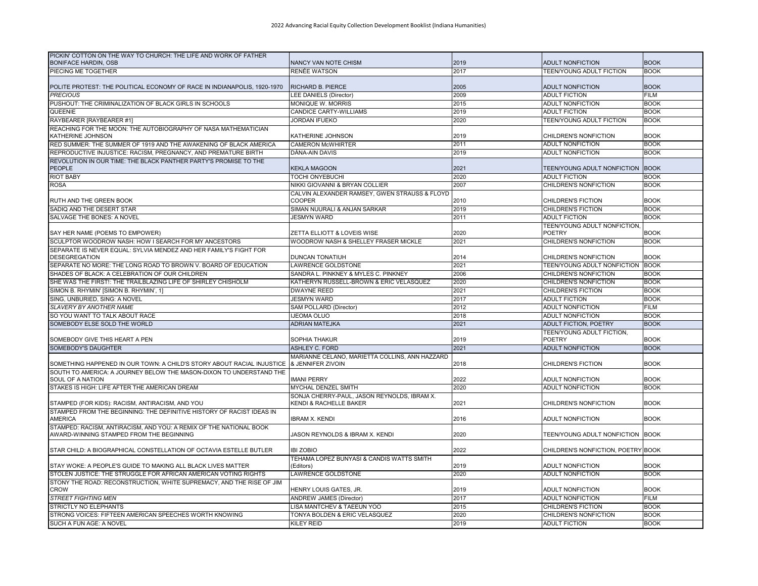| PICKIN' COTTON ON THE WAY TO CHURCH: THE LIFE AND WORK OF FATHER<br><b>BONIFACE HARDIN, OSB</b> | NANCY VAN NOTE CHISM                                                  | 2019 | <b>ADULT NONFICTION</b>                 | <b>BOOK</b> |
|-------------------------------------------------------------------------------------------------|-----------------------------------------------------------------------|------|-----------------------------------------|-------------|
| PIECING ME TOGETHER                                                                             | RENÉE WATSON                                                          | 2017 | <b>TEEN/YOUNG ADULT FICTION</b>         | <b>BOOK</b> |
| POLITE PROTEST: THE POLITICAL ECONOMY OF RACE IN INDIANAPOLIS, 1920-1970                        | RICHARD B. PIERCE                                                     | 2005 | <b>ADULT NONFICTION</b>                 | <b>BOOK</b> |
| <b>PRECIOUS</b>                                                                                 | LEE DANIELS (Director)                                                | 2009 | <b>ADULT FICTION</b>                    | <b>FILM</b> |
| PUSHOUT: THE CRIMINALIZATION OF BLACK GIRLS IN SCHOOLS                                          | <b>MONIQUE W. MORRIS</b>                                              | 2015 | <b>ADULT NONFICTION</b>                 | <b>BOOK</b> |
| QUEENIE                                                                                         | <b>CANDICE CARTY-WILLIAMS</b>                                         | 2019 | <b>ADULT FICTION</b>                    | <b>BOOK</b> |
| RAYBEARER [RAYBEARER #1]                                                                        | <b>JORDAN IFUEKO</b>                                                  | 2020 | TEEN/YOUNG ADULT FICTION                | <b>BOOK</b> |
| REACHING FOR THE MOON: THE AUTOBIOGRAPHY OF NASA MATHEMATICIAN                                  |                                                                       |      |                                         |             |
| KATHERINE JOHNSON                                                                               | KATHERINE JOHNSON                                                     | 2019 | CHILDREN'S NONFICTION                   | <b>BOOK</b> |
| RED SUMMER: THE SUMMER OF 1919 AND THE AWAKENING OF BLACK AMERICA                               | <b>CAMERON McWHIRTER</b>                                              | 2011 | <b>ADULT NONFICTION</b>                 | <b>BOOK</b> |
| REPRODUCTIVE INJUSTICE: RACISM, PREGNANCY, AND PREMATURE BIRTH                                  | DÁNA-AIN DAVIS                                                        | 2019 | <b>ADULT NONFICTION</b>                 | <b>BOOK</b> |
| REVOLUTION IN OUR TIME: THE BLACK PANTHER PARTY'S PROMISE TO THE<br><b>PEOPLE</b>               | <b>KEKLA MAGOON</b>                                                   | 2021 | TEEN/YOUNG ADULT NONFICTION BOOK        |             |
| <b>RIOT BABY</b>                                                                                | TOCHI ONYEBUCHI                                                       | 2020 | <b>ADULT FICTION</b>                    | <b>BOOK</b> |
| <b>ROSA</b>                                                                                     | NIKKI GIOVANNI & BRYAN COLLIER                                        | 2007 | CHILDREN'S NONFICTION                   | <b>BOOK</b> |
| RUTH AND THE GREEN BOOK                                                                         | CALVIN ALEXANDER RAMSEY. GWEN STRAUSS & FLOYD<br><b>COOPER</b>        | 2010 | <b>CHILDREN'S FICTION</b>               | <b>BOOK</b> |
| SADIQ AND THE DESERT STAR                                                                       | SIMAN NUURALI & ANJAN SARKAR                                          | 2019 | CHILDREN'S FICTION                      | <b>BOOK</b> |
| SALVAGE THE BONES: A NOVEL                                                                      | <b>JESMYN WARD</b>                                                    | 2011 | <b>ADULT FICTION</b>                    | <b>BOOK</b> |
|                                                                                                 |                                                                       |      | TEEN/YOUNG ADULT NONFICTION,            |             |
| SAY HER NAME (POEMS TO EMPOWER)                                                                 | ZETTA ELLIOTT & LOVEIS WISE                                           | 2020 | <b>POETRY</b>                           | <b>BOOK</b> |
| SCULPTOR WOODROW NASH: HOW I SEARCH FOR MY ANCESTORS                                            | WOODROW NASH & SHELLEY FRASER MICKLE                                  | 2021 | CHILDREN'S NONFICTION                   | <b>BOOK</b> |
| SEPARATE IS NEVER EQUAL: SYLVIA MENDEZ AND HER FAMILY'S FIGHT FOR<br><b>DESEGREGATION</b>       | DUNCAN TONATIUH                                                       | 2014 | CHILDREN'S NONFICTION                   | <b>BOOK</b> |
| SEPARATE NO MORE: THE LONG ROAD TO BROWN V, BOARD OF EDUCATION                                  | <b>LAWRENCE GOLDSTONE</b>                                             | 2021 | <b>TEEN/YOUNG ADULT NONFICTION BOOK</b> |             |
| SHADES OF BLACK: A CELEBRATION OF OUR CHILDREN                                                  | SANDRA L. PINKNEY & MYLES C. PINKNEY                                  | 2006 | CHILDREN'S NONFICTION                   | <b>BOOK</b> |
| SHE WAS THE FIRST!: THE TRAILBLAZING LIFE OF SHIRLEY CHISHOLM                                   | KATHERYN RUSSELL-BROWN & ERIC VELASQUEZ                               | 2020 | CHILDREN'S NONFICTION                   | <b>BOOK</b> |
| SIMON B. RHYMIN' [SIMON B. RHYMIN', 1]                                                          | <b>DWAYNE REED</b>                                                    | 2021 | <b>CHILDREN'S FICTION</b>               | <b>BOOK</b> |
| SING, UNBURIED, SING: A NOVEL                                                                   | <b>JESMYN WARD</b>                                                    | 2017 | <b>ADULT FICTION</b>                    | <b>BOOK</b> |
| SLAVERY BY ANOTHER NAME                                                                         | SAM POLLARD (Director)                                                | 2012 | <b>ADULT NONFICTION</b>                 | <b>FILM</b> |
| SO YOU WANT TO TALK ABOUT RACE                                                                  | IJEOMA OLUO                                                           | 2018 | <b>ADULT NONFICTION</b>                 | <b>BOOK</b> |
| SOMEBODY ELSE SOLD THE WORLD                                                                    | <b>ADRIAN MATEJKA</b>                                                 | 2021 | <b>ADULT FICTION, POETRY</b>            | <b>BOOK</b> |
|                                                                                                 |                                                                       |      | TEEN/YOUNG ADULT FICTION,               |             |
| SOMEBODY GIVE THIS HEART A PEN                                                                  | SOPHIA THAKUR                                                         | 2019 | <b>POETRY</b>                           | <b>BOOK</b> |
| <b>SOMEBODY'S DAUGHTER</b>                                                                      | ASHLEY C. FORD                                                        | 2021 | <b>ADULT NONFICTION</b>                 | <b>BOOK</b> |
| SOMETHING HAPPENED IN OUR TOWN: A CHILD'S STORY ABOUT RACIAL INJUSTICE                          | MARIANNE CELANO, MARIETTA COLLINS, ANN HAZZARD<br>& JENNIFER ZIVOIN   | 2018 | <b>CHILDREN'S FICTION</b>               | <b>BOOK</b> |
| SOUTH TO AMERICA: A JOURNEY BELOW THE MASON-DIXON TO UNDERSTAND THE                             |                                                                       |      |                                         |             |
| SOUL OF A NATION                                                                                | <b>IMANI PERRY</b>                                                    | 2022 | <b>ADULT NONFICTION</b>                 | <b>BOOK</b> |
| STAKES IS HIGH: LIFE AFTER THE AMERICAN DREAM                                                   | MYCHAL DENZEL SMITH                                                   | 2020 | <b>ADULT NONFICTION</b>                 | <b>BOOK</b> |
| STAMPED (FOR KIDS): RACISM, ANTIRACISM, AND YOU                                                 | SONJA CHERRY-PAUL, JASON REYNOLDS, IBRAM X.<br>KENDI & RACHELLE BAKER | 2021 | CHILDREN'S NONFICTION                   | <b>BOOK</b> |
| STAMPED FROM THE BEGINNING: THE DEFINITIVE HISTORY OF RACIST IDEAS IN<br>AMERICA                | <b>IBRAM X. KENDI</b>                                                 | 2016 | ADULT NONFICTION                        | <b>BOOK</b> |
| STAMPED: RACISM, ANTIRACISM, AND YOU: A REMIX OF THE NATIONAL BOOK                              |                                                                       |      |                                         |             |
| AWARD-WINNING STAMPED FROM THE BEGINNING                                                        | JASON REYNOLDS & IBRAM X. KENDI                                       | 2020 | TEEN/YOUNG ADULT NONFICTION BOOK        |             |
| STAR CHILD: A BIOGRAPHICAL CONSTELLATION OF OCTAVIA ESTELLE BUTLER                              | <b>IBI ZOBIO</b>                                                      | 2022 | CHILDREN'S NONFICTION, POETRY BOOK      |             |
| STAY WOKE: A PEOPLE'S GUIDE TO MAKING ALL BLACK LIVES MATTER                                    | TEHAMA LOPEZ BUNYASI & CANDIS WATTS SMITH<br>(Editors)                | 2019 | ADULT NONFICTION                        | <b>BOOK</b> |
| STOLEN JUSTICE: THE STRUGGLE FOR AFRICAN AMERICAN VOTING RIGHTS                                 | <b>LAWRENCE GOLDSTONE</b>                                             | 2020 | <b>ADULT NONFICTION</b>                 | <b>BOOK</b> |
| STONY THE ROAD: RECONSTRUCTION, WHITE SUPREMACY, AND THE RISE OF JIM<br><b>CROW</b>             | HENRY LOUIS GATES, JR.                                                | 2019 | <b>ADULT NONFICTION</b>                 | <b>BOOK</b> |
| <b>STREET FIGHTING MEN</b>                                                                      | <b>ANDREW JAMES (Director)</b>                                        | 2017 | <b>ADULT NONFICTION</b>                 | <b>FILM</b> |
| STRICTLY NO ELEPHANTS                                                                           | LISA MANTCHEV & TAEEUN YOO                                            | 2015 | <b>CHILDREN'S FICTION</b>               | <b>BOOK</b> |
| STRONG VOICES: FIFTEEN AMERICAN SPEECHES WORTH KNOWING                                          | TONYA BOLDEN & ERIC VELASQUEZ                                         | 2020 | CHILDREN'S NONFICTION                   | <b>BOOK</b> |
| SUCH A FUN AGE: A NOVEL                                                                         | <b>KILEY REID</b>                                                     | 2019 | <b>ADULT FICTION</b>                    | <b>BOOK</b> |
|                                                                                                 |                                                                       |      |                                         |             |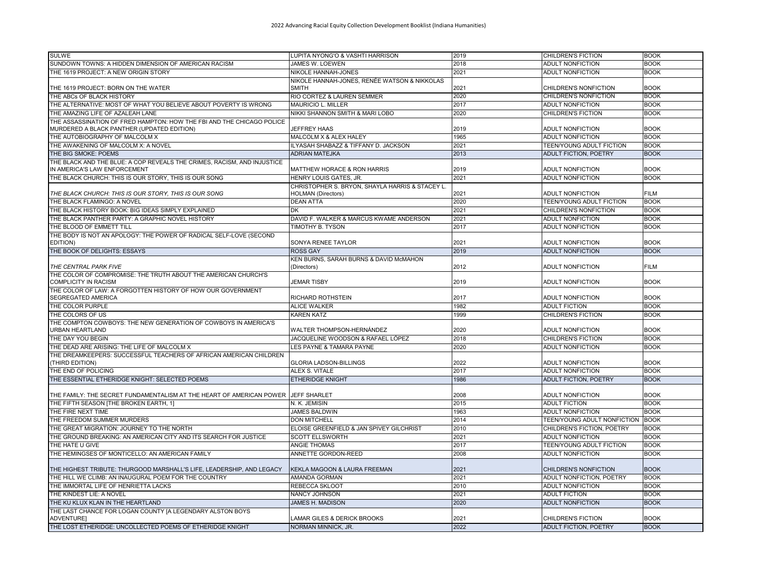| <b>SULWE</b>                                                                                                        | LUPITA NYONG'O & VASHTI HARRISON                      | 2019 | <b>CHILDREN'S FICTION</b>        | <b>BOOK</b> |
|---------------------------------------------------------------------------------------------------------------------|-------------------------------------------------------|------|----------------------------------|-------------|
| SUNDOWN TOWNS: A HIDDEN DIMENSION OF AMERICAN RACISM                                                                | JAMES W. LOEWEN                                       | 2018 | <b>ADULT NONFICTION</b>          | <b>BOOK</b> |
| THE 1619 PROJECT: A NEW ORIGIN STORY                                                                                | NIKOLE HANNAH-JONES                                   | 2021 | <b>ADULT NONFICTION</b>          | <b>BOOK</b> |
|                                                                                                                     | NIKOLE HANNAH-JONES, RENÉE WATSON & NIKKOLAS          |      |                                  |             |
| THE 1619 PROJECT: BORN ON THE WATER                                                                                 | <b>SMITH</b>                                          | 2021 | CHILDREN'S NONFICTION            | <b>BOOK</b> |
| THE ABCs OF BLACK HISTORY                                                                                           | RIO CORTEZ & LAUREN SEMMER                            | 2020 | CHILDREN'S NONFICTION            | <b>BOOK</b> |
| THE ALTERNATIVE: MOST OF WHAT YOU BELIEVE ABOUT POVERTY IS WRONG                                                    | <b>MAURICIO L. MILLER</b>                             | 2017 | <b>ADULT NONFICTION</b>          | <b>BOOK</b> |
| THE AMAZING LIFE OF AZALEAH LANE                                                                                    | NIKKI SHANNON SMITH & MARI LOBO                       | 2020 | <b>CHILDREN'S FICTION</b>        | <b>BOOK</b> |
| THE ASSASSINATION OF FRED HAMPTON: HOW THE FBI AND THE CHICAGO POLICE<br>MURDERED A BLACK PANTHER (UPDATED EDITION) | <b>JEFFREY HAAS</b>                                   | 2019 | <b>ADULT NONFICTION</b>          | <b>BOOK</b> |
| THE AUTOBIOGRAPHY OF MALCOLM X                                                                                      | MALCOLM X & ALEX HALEY                                | 1965 | <b>ADULT NONFICTION</b>          | <b>BOOK</b> |
| THE AWAKENING OF MALCOLM X: A NOVEL                                                                                 | ILYASAH SHABAZZ & TIFFANY D. JACKSON                  | 2021 | <b>TEEN/YOUNG ADULT FICTION</b>  | <b>BOOK</b> |
| THE BIG SMOKE: POEMS                                                                                                | <b>ADRIAN MATEJKA</b>                                 | 2013 | <b>ADULT FICTION, POETRY</b>     | <b>BOOK</b> |
| THE BLACK AND THE BLUE: A COP REVEALS THE CRIMES, RACISM, AND INJUSTICE<br>IN AMERICA'S LAW ENFORCEMENT             | <b>MATTHEW HORACE &amp; RON HARRIS</b>                | 2019 | <b>ADULT NONFICTION</b>          | <b>BOOK</b> |
| THE BLACK CHURCH: THIS IS OUR STORY, THIS IS OUR SONG                                                               | HENRY LOUIS GATES, JR.                                | 2021 | <b>ADULT NONFICTION</b>          | <b>BOOK</b> |
|                                                                                                                     | CHRISTOPHER S. BRYON, SHAYLA HARRIS & STACEY L.       |      |                                  |             |
| THE BLACK CHURCH: THIS IS OUR STORY, THIS IS OUR SONG                                                               | <b>HOLMAN</b> (Directors)                             | 2021 | ADULT NONFICTION                 | <b>FILM</b> |
| THE BLACK FLAMINGO: A NOVEL                                                                                         | <b>DEAN ATTA</b>                                      | 2020 | <b>TEEN/YOUNG ADULT FICTION</b>  | <b>BOOK</b> |
| THE BLACK HISTORY BOOK: BIG IDEAS SIMPLY EXPLAINED                                                                  | <b>DK</b>                                             | 2021 | CHILDREN'S NONFICTION            | <b>BOOK</b> |
| THE BLACK PANTHER PARTY: A GRAPHIC NOVEL HISTORY                                                                    | DAVID F. WALKER & MARCUS KWAME ANDERSON               | 2021 | <b>ADULT NONFICTION</b>          | <b>BOOK</b> |
| THE BLOOD OF EMMETT TILL                                                                                            | TIMOTHY B. TYSON                                      | 2017 | ADULT NONFICTION                 | <b>BOOK</b> |
| THE BODY IS NOT AN APOLOGY: THE POWER OF RADICAL SELF-LOVE (SECOND                                                  |                                                       |      |                                  |             |
| EDITION)                                                                                                            | SONYA RENEE TAYLOR                                    | 2021 | <b>ADULT NONFICTION</b>          | <b>BOOK</b> |
| THE BOOK OF DELIGHTS: ESSAYS                                                                                        | <b>ROSS GAY</b>                                       | 2019 | <b>ADULT NONFICTION</b>          | <b>BOOK</b> |
| THE CENTRAL PARK FIVE                                                                                               | KEN BURNS, SARAH BURNS & DAVID McMAHON<br>(Directors) | 2012 | <b>ADULT NONFICTION</b>          | <b>FILM</b> |
| THE COLOR OF COMPROMISE: THE TRUTH ABOUT THE AMERICAN CHURCH'S<br><b>COMPLICITY IN RACISM</b>                       | <b>JEMAR TISBY</b>                                    | 2019 | <b>ADULT NONFICTION</b>          | <b>BOOK</b> |
| THE COLOR OF LAW: A FORGOTTEN HISTORY OF HOW OUR GOVERNMENT                                                         |                                                       |      |                                  |             |
| SEGREGATED AMERICA                                                                                                  | RICHARD ROTHSTEIN                                     | 2017 | <b>ADULT NONFICTION</b>          | <b>BOOK</b> |
| THE COLOR PURPLE                                                                                                    | <b>ALICE WALKER</b>                                   | 1982 | <b>ADULT FICTION</b>             | <b>BOOK</b> |
| THE COLORS OF US                                                                                                    | <b>KAREN KATZ</b>                                     | 1999 | CHILDREN'S FICTION               | <b>BOOK</b> |
| THE COMPTON COWBOYS: THE NEW GENERATION OF COWBOYS IN AMERICA'S<br><b>URBAN HEARTLAND</b>                           | WALTER THOMPSON-HERNÁNDEZ                             | 2020 | <b>ADULT NONFICTION</b>          | <b>BOOK</b> |
| THE DAY YOU BEGIN                                                                                                   | JACQUELINE WOODSON & RAFAEL LÓPEZ                     | 2018 | CHILDREN'S FICTION               | <b>BOOK</b> |
| THE DEAD ARE ARISING: THE LIFE OF MALCOLM X                                                                         | LES PAYNE & TAMARA PAYNE                              | 2020 | <b>ADULT NONFICTION</b>          | <b>BOOK</b> |
| THE DREAMKEEPERS: SUCCESSFUL TEACHERS OF AFRICAN AMERICAN CHILDREN<br>(THIRD EDITION)                               | <b>GLORIA LADSON-BILLINGS</b>                         | 2022 | ADULT NONFICTION                 | <b>BOOK</b> |
| THE END OF POLICING                                                                                                 | ALEX S. VITALE                                        | 2017 | <b>ADULT NONFICTION</b>          | <b>BOOK</b> |
| THE ESSENTIAL ETHERIDGE KNIGHT: SELECTED POEMS                                                                      | <b>ETHERIDGE KNIGHT</b>                               | 1986 | <b>ADULT FICTION, POETRY</b>     | <b>BOOK</b> |
|                                                                                                                     |                                                       |      |                                  |             |
| THE FAMILY: THE SECRET FUNDAMENTALISM AT THE HEART OF AMERICAN POWER JEFF SHARLET                                   |                                                       | 2008 | ADULT NONFICTION                 | <b>BOOK</b> |
| THE FIFTH SEASON [THE BROKEN EARTH, 1]                                                                              | N. K. JEMISIN                                         | 2015 | <b>ADULT FICTION</b>             | <b>BOOK</b> |
| THE FIRE NEXT TIME                                                                                                  | <b>JAMES BALDWIN</b>                                  | 1963 | <b>ADULT NONFICTION</b>          | <b>BOOK</b> |
| THE FREEDOM SUMMER MURDERS                                                                                          | <b>DON MITCHELL</b>                                   | 2014 | TEEN/YOUNG ADULT NONFICTION BOOK |             |
| THE GREAT MIGRATION: JOURNEY TO THE NORTH                                                                           | ELOISE GREENFIELD & JAN SPIVEY GILCHRIST              | 2010 | CHILDREN'S FICTION, POETRY       | <b>BOOK</b> |
| THE GROUND BREAKING: AN AMERICAN CITY AND ITS SEARCH FOR JUSTICE                                                    | <b>SCOTT ELLSWORTH</b>                                | 2021 | ADULT NONFICTION                 | <b>BOOK</b> |
| THE HATE U GIVE                                                                                                     | <b>ANGIE THOMAS</b>                                   | 2017 | TEEN/YOUNG ADULT FICTION         | <b>BOOK</b> |
| THE HEMINGSES OF MONTICELLO: AN AMERICAN FAMILY                                                                     | ANNETTE GORDON-REED                                   | 2008 | <b>ADULT NONFICTION</b>          | <b>BOOK</b> |
| THE HIGHEST TRIBUTE: THURGOOD MARSHALL'S LIFE, LEADERSHIP, AND LEGACY                                               | KEKLA MAGOON & LAURA FREEMAN                          | 2021 | CHILDREN'S NONFICTION            | <b>BOOK</b> |
| THE HILL WE CLIMB: AN INAUGURAL POEM FOR THE COUNTRY                                                                | AMANDA GORMAN                                         | 2021 | ADULT NONFICTION, POETRY         | <b>BOOK</b> |
| THE IMMORTAL LIFE OF HENRIETTA LACKS                                                                                | REBECCA SKLOOT                                        | 2010 | <b>ADULT NONFICTION</b>          | <b>BOOK</b> |
| THE KINDEST LIE: A NOVEL                                                                                            | NANCY JOHNSON                                         | 2021 | <b>ADULT FICTION</b>             | <b>BOOK</b> |
| THE KU KLUX KLAN IN THE HEARTLAND                                                                                   | <b>JAMES H. MADISON</b>                               | 2020 | <b>ADULT NONFICTION</b>          | <b>BOOK</b> |
| THE LAST CHANCE FOR LOGAN COUNTY JA LEGENDARY ALSTON BOYS<br><b>ADVENTURE]</b>                                      | LAMAR GILES & DERICK BROOKS                           | 2021 | CHILDREN'S FICTION               | <b>BOOK</b> |
| THE LOST ETHERIDGE: UNCOLLECTED POEMS OF ETHERIDGE KNIGHT                                                           | NORMAN MINNICK, JR.                                   | 2022 | <b>ADULT FICTION, POETRY</b>     | <b>BOOK</b> |
|                                                                                                                     |                                                       |      |                                  |             |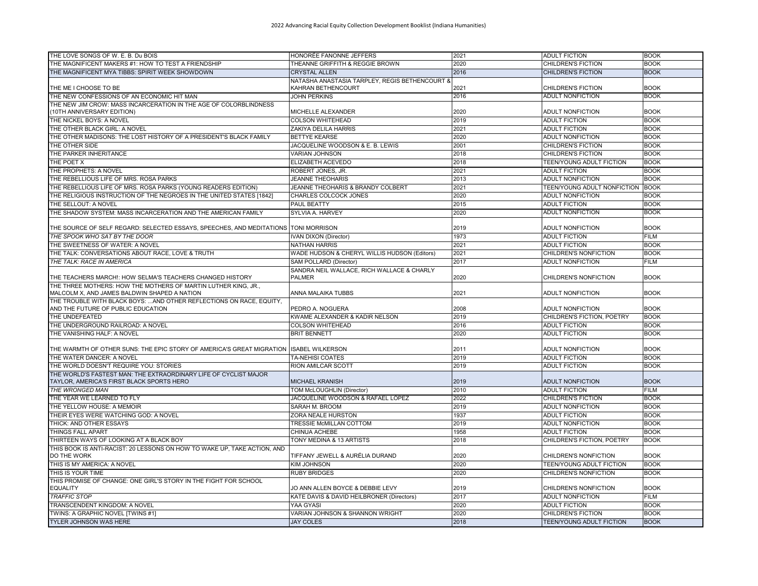| THE LOVE SONGS OF W. E. B. Du BOIS                                                              | HONORÉE FANONNE JEFFERS                              | 2021 | <b>ADULT FICTION</b>            | <b>BOOK</b>                |
|-------------------------------------------------------------------------------------------------|------------------------------------------------------|------|---------------------------------|----------------------------|
| THE MAGNIFICENT MAKERS #1: HOW TO TEST A FRIENDSHIP                                             | THEANNE GRIFFITH & REGGIE BROWN                      | 2020 | CHILDREN'S FICTION              | <b>BOOK</b>                |
| THE MAGNIFICENT MYA TIBBS: SPIRIT WEEK SHOWDOWN                                                 | <b>CRYSTAL ALLEN</b>                                 | 2016 | <b>CHILDREN'S FICTION</b>       | <b>BOOK</b>                |
|                                                                                                 | NATASHA ANASTASIA TARPLEY, REGIS BETHENCOURT &       |      |                                 |                            |
| THE ME I CHOOSE TO BE                                                                           | KAHRAN BETHENCOURT                                   | 2021 | CHILDREN'S FICTION              | <b>BOOK</b>                |
| THE NEW CONFESSIONS OF AN ECONOMIC HIT MAN                                                      | JOHN PERKINS                                         | 2016 | <b>ADULT NONFICTION</b>         | <b>BOOK</b>                |
| THE NEW JIM CROW: MASS INCARCERATION IN THE AGE OF COLORBLINDNESS<br>(10TH ANNIVERSARY EDITION) | MICHELLE ALEXANDER                                   | 2020 | <b>ADULT NONFICTION</b>         | <b>BOOK</b>                |
| THE NICKEL BOYS: A NOVEL                                                                        | COLSON WHITEHEAD                                     | 2019 | <b>ADULT FICTION</b>            | <b>BOOK</b>                |
| THE OTHER BLACK GIRL: A NOVEL                                                                   | ZAKIYA DELILA HARRIS                                 | 2021 | <b>ADULT FICTION</b>            | <b>BOOK</b>                |
| THE OTHER MADISONS: THE LOST HISTORY OF A PRESIDENT'S BLACK FAMILY                              | <b>BETTYE KEARSE</b>                                 | 2020 | <b>ADULT NONFICTION</b>         | <b>BOOK</b>                |
| THE OTHER SIDE                                                                                  | JACQUELINE WOODSON & E. B. LEWIS                     | 2001 | CHILDREN'S FICTION              | <b>BOOK</b>                |
| THE PARKER INHERITANCE                                                                          | <b>VARIAN JOHNSON</b>                                | 2018 | CHILDREN'S FICTION              | <b>BOOK</b>                |
| THE POET X                                                                                      | ELIZABETH ACEVEDO                                    | 2018 | <b>TEEN/YOUNG ADULT FICTION</b> | <b>BOOK</b>                |
| THE PROPHETS: A NOVEL                                                                           | ROBERT JONES, JR.                                    | 2021 | <b>ADULT FICTION</b>            | <b>BOOK</b>                |
| THE REBELLIOUS LIFE OF MRS. ROSA PARKS                                                          | <b>JEANNE THEOHARIS</b>                              | 2013 | <b>ADULT NONFICTION</b>         | <b>BOOK</b>                |
| THE REBELLIOUS LIFE OF MRS. ROSA PARKS (YOUNG READERS EDITION)                                  | JEANNE THEOHARIS & BRANDY COLBERT                    | 2021 | TEEN/YOUNG ADULT NONFICTION     | <b>BOOK</b>                |
| THE RELIGIOUS INSTRUCTION OF THE NEGROES IN THE UNITED STATES [1842]                            | CHARLES COLCOCK JONES                                | 2020 | <b>ADULT NONFICTION</b>         | <b>BOOK</b>                |
| THE SELLOUT: A NOVEL                                                                            | <b>PAUL BEATTY</b>                                   | 2015 | <b>ADULT FICTION</b>            | <b>BOOK</b>                |
| THE SHADOW SYSTEM: MASS INCARCERATION AND THE AMERICAN FAMILY                                   | <b>SYLVIA A. HARVEY</b>                              | 2020 | <b>ADULT NONFICTION</b>         | <b>BOOK</b>                |
|                                                                                                 |                                                      |      |                                 |                            |
| THE SOURCE OF SELF REGARD: SELECTED ESSAYS, SPEECHES, AND MEDITATIONS                           | <b>TONI MORRISON</b>                                 | 2019 | <b>ADULT NONFICTION</b>         | <b>BOOK</b>                |
| THE SPOOK WHO SAT BY THE DOOR                                                                   | <b>IVAN DIXON (Director)</b>                         | 1973 | <b>ADULT FICTION</b>            | <b>FILM</b>                |
| THE SWEETNESS OF WATER: A NOVEL                                                                 | <b>NATHAN HARRIS</b>                                 | 2021 | <b>ADULT FICTION</b>            | <b>BOOK</b>                |
| THE TALK: CONVERSATIONS ABOUT RACE, LOVE & TRUTH                                                | WADE HUDSON & CHERYL WILLIS HUDSON (Editors)         | 2021 | CHILDREN'S NONFICTION           | <b>BOOK</b>                |
| THE TALK: RACE IN AMERICA                                                                       | <b>SAM POLLARD (Director)</b>                        | 2017 | <b>ADULT NONFICTION</b>         | <b>FILM</b>                |
| THE TEACHERS MARCH!: HOW SELMA'S TEACHERS CHANGED HISTORY                                       | SANDRA NEIL WALLACE, RICH WALLACE & CHARLY<br>PALMER | 2020 | CHILDREN'S NONFICTION           | <b>BOOK</b>                |
| THE THREE MOTHERS: HOW THE MOTHERS OF MARTIN LUTHER KING, JR.,                                  |                                                      |      |                                 |                            |
| MALCOLM X, AND JAMES BALDWIN SHAPED A NATION                                                    | ANNA MALAIKA TUBBS                                   | 2021 | <b>ADULT NONFICTION</b>         | <b>BOOK</b>                |
| THE TROUBLE WITH BLACK BOYS:  AND OTHER REFLECTIONS ON RACE. EQUITY.                            |                                                      |      |                                 |                            |
| AND THE FUTURE OF PUBLIC EDUCATION                                                              | PEDRO A. NOGUERA                                     | 2008 | ADULT NONFICTION                | <b>BOOK</b>                |
| THE UNDEFEATED                                                                                  | KWAME ALEXANDER & KADIR NELSON                       | 2019 | CHILDREN'S FICTION, POETRY      | <b>BOOK</b>                |
| THE UNDERGROUND RAILROAD: A NOVEL                                                               | <b>COLSON WHITEHEAD</b>                              | 2016 | <b>ADULT FICTION</b>            | <b>BOOK</b>                |
| THE VANISHING HALF: A NOVEL                                                                     | <b>BRIT BENNETT</b>                                  | 2020 | <b>ADULT FICTION</b>            | <b>BOOK</b>                |
| THE WARMTH OF OTHER SUNS: THE EPIC STORY OF AMERICA'S GREAT MIGRATION                           | <b>ISABEL WILKERSON</b>                              | 2011 | <b>ADULT NONFICTION</b>         | <b>BOOK</b>                |
| THE WATER DANCER: A NOVEL                                                                       | TA-NEHISI COATES                                     | 2019 | <b>ADULT FICTION</b>            | <b>BOOK</b>                |
| THE WORLD DOESN'T REQUIRE YOU: STORIES                                                          | RION AMILCAR SCOTT                                   | 2019 | <b>ADULT FICTION</b>            | <b>BOOK</b>                |
| THE WORLD'S FASTEST MAN: THE EXTRAORDINARY LIFE OF CYCLIST MAJOR                                |                                                      |      |                                 |                            |
| TAYLOR, AMERICA'S FIRST BLACK SPORTS HERO                                                       | <b>MICHAEL KRANISH</b>                               | 2019 | <b>ADULT NONFICTION</b>         | <b>BOOK</b>                |
| THE WRONGED MAN                                                                                 | TOM McLOUGHLIN (Director)                            | 2010 | <b>ADULT FICTION</b>            | <b>FILM</b>                |
| THE YEAR WE LEARNED TO FLY                                                                      | JACQUELINE WOODSON & RAFAEL LÓPEZ                    | 2022 | <b>CHILDREN'S FICTION</b>       | <b>BOOK</b>                |
| THE YELLOW HOUSE: A MEMOIR                                                                      | SARAH M. BROOM                                       | 2019 | <b>ADULT NONFICTION</b>         | <b>BOOK</b>                |
| THEIR EYES WERE WATCHING GOD: A NOVEL                                                           | ZORA NEALE HURSTON                                   | 1937 | <b>ADULT FICTION</b>            | <b>BOOK</b>                |
| THICK: AND OTHER ESSAYS                                                                         | TRESSIE McMILLAN COTTOM                              | 2019 | <b>ADULT NONFICTION</b>         | <b>BOOK</b>                |
| THINGS FALL APART                                                                               | CHINUA ACHEBE                                        | 1958 | <b>ADULT FICTION</b>            | <b>BOOK</b>                |
| THIRTEEN WAYS OF LOOKING AT A BLACK BOY                                                         | TONY MEDINA & 13 ARTISTS                             | 2018 | CHILDREN'S FICTION, POETRY      | <b>BOOK</b>                |
| THIS BOOK IS ANTI-RACIST: 20 LESSONS ON HOW TO WAKE UP. TAKE ACTION, AND                        |                                                      |      |                                 |                            |
| DO THE WORK                                                                                     | TIFFANY JEWELL & AURÉLIA DURAND                      | 2020 | CHILDREN'S NONFICTION           | <b>BOOK</b>                |
| THIS IS MY AMERICA: A NOVEL                                                                     | <b>KIM JOHNSON</b>                                   | 2020 | <b>TEEN/YOUNG ADULT FICTION</b> | <b>BOOK</b>                |
| THIS IS YOUR TIME                                                                               | <b>RUBY BRIDGES</b>                                  | 2020 | CHILDREN'S NONFICTION           | <b>BOOK</b>                |
| THIS PROMISE OF CHANGE: ONE GIRL'S STORY IN THE FIGHT FOR SCHOOL                                | JO ANN ALLEN BOYCE & DEBBIE LEVY                     | 2019 | CHILDREN'S NONFICTION           | <b>BOOK</b>                |
| <b>EQUALITY</b><br><b>TRAFFIC STOP</b>                                                          | KATE DAVIS & DAVID HEILBRONER (Directors)            | 2017 | <b>ADULT NONFICTION</b>         | <b>FILM</b>                |
|                                                                                                 | YAA GYASI                                            |      |                                 | <b>BOOK</b>                |
| TRANSCENDENT KINGDOM: A NOVEL                                                                   |                                                      | 2020 | <b>ADULT FICTION</b>            |                            |
| TWINS: A GRAPHIC NOVEL [TWINS #1]<br><b>TYLER JOHNSON WAS HERE</b>                              | VARIAN JOHNSON & SHANNON WRIGHT<br><b>JAY COLES</b>  | 2020 | CHILDREN'S FICTION              | <b>BOOK</b><br><b>BOOK</b> |
|                                                                                                 |                                                      | 2018 | <b>TEEN/YOUNG ADULT FICTION</b> |                            |